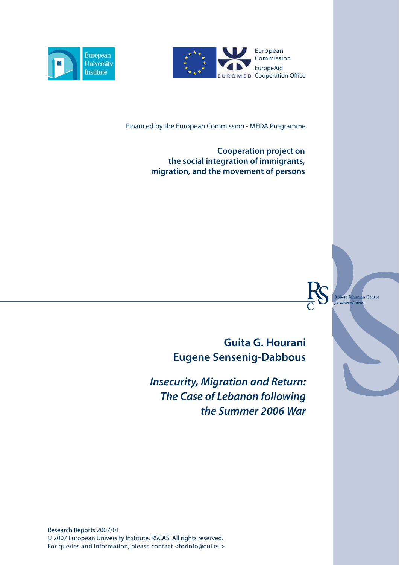



Financed by the European Commission - MEDA Programme

**Cooperation project on the social integration of immigrants, migration, and the movement of persons**

> **Guita G. Hourani Eugene Sensenig-Dabbous**

Robert S<mark>chuman Centre</mark>

ed studi

adam

*Insecurity, Migration and Return: The Case of Lebanon following the Summer 2006 War*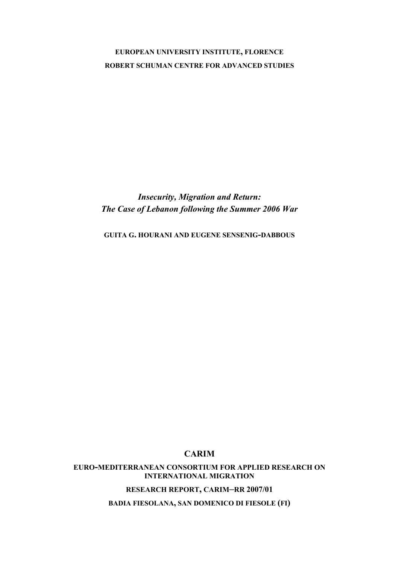# **EUROPEAN UNIVERSITY INSTITUTE, FLORENCE ROBERT SCHUMAN CENTRE FOR ADVANCED STUDIES**

*Insecurity, Migration and Return: The Case of Lebanon following the Summer 2006 War* 

**GUITA G. HOURANI AND EUGENE SENSENIG-DABBOUS**

# **CARIM**

**EURO-MEDITERRANEAN CONSORTIUM FOR APPLIED RESEARCH ON INTERNATIONAL MIGRATION**

**RESEARCH REPORT, CARIM–RR 2007/01**

**BADIA FIESOLANA, SAN DOMENICO DI FIESOLE (FI)**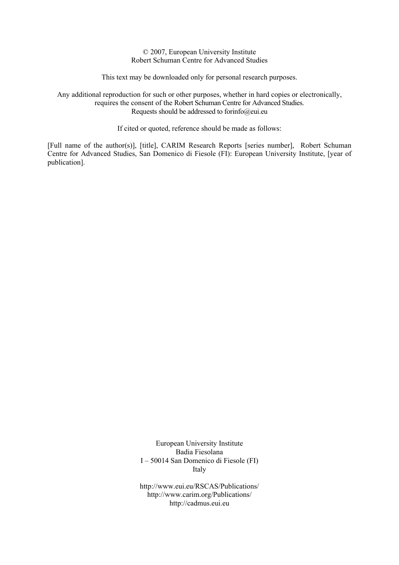© 2007, European University Institute Robert Schuman Centre for Advanced Studies

This text may be downloaded only for personal research purposes.

Any additional reproduction for such or other purposes, whether in hard copies or electronically, requires the consent of the Robert Schuman Centre for Advanced Studies. Requests should be addressed to forinfo@eui.eu

If cited or quoted, reference should be made as follows:

[Full name of the author(s)], [title], CARIM Research Reports [series number], Robert Schuman Centre for Advanced Studies, San Domenico di Fiesole (FI): European University Institute, [year of publication].

> European University Institute Badia Fiesolana I – 50014 San Domenico di Fiesole (FI) Italy

> http://www.eui.eu/RSCAS/Publications/ http://www.carim.org/Publications/ http://cadmus.eui.eu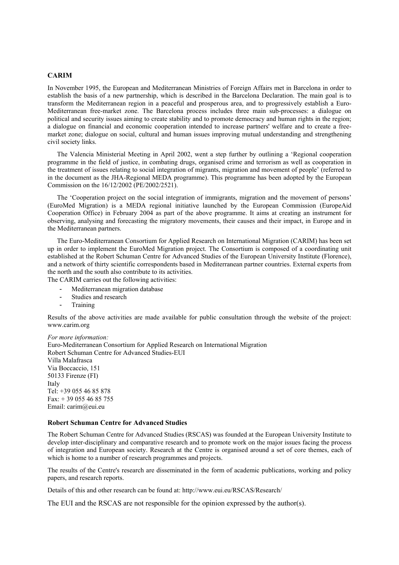#### **CARIM**

In November 1995, the European and Mediterranean Ministries of Foreign Affairs met in Barcelona in order to establish the basis of a new partnership, which is described in the Barcelona Declaration. The main goal is to transform the Mediterranean region in a peaceful and prosperous area, and to progressively establish a Euro-Mediterranean free-market zone. The Barcelona process includes three main sub-processes: a dialogue on political and security issues aiming to create stability and to promote democracy and human rights in the region; a dialogue on financial and economic cooperation intended to increase partners' welfare and to create a freemarket zone; dialogue on social, cultural and human issues improving mutual understanding and strengthening civil society links.

The Valencia Ministerial Meeting in April 2002, went a step further by outlining a 'Regional cooperation programme in the field of justice, in combating drugs, organised crime and terrorism as well as cooperation in the treatment of issues relating to social integration of migrants, migration and movement of people' (referred to in the document as the JHA-Regional MEDA programme). This programme has been adopted by the European Commission on the 16/12/2002 (PE/2002/2521).

The 'Cooperation project on the social integration of immigrants, migration and the movement of persons' (EuroMed Migration) is a MEDA regional initiative launched by the European Commission (EuropeAid Cooperation Office) in February 2004 as part of the above programme. It aims at creating an instrument for observing, analysing and forecasting the migratory movements, their causes and their impact, in Europe and in the Mediterranean partners.

The Euro-Mediterranean Consortium for Applied Research on International Migration (CARIM) has been set up in order to implement the EuroMed Migration project. The Consortium is composed of a coordinating unit established at the Robert Schuman Centre for Advanced Studies of the European University Institute (Florence), and a network of thirty scientific correspondents based in Mediterranean partner countries. External experts from the north and the south also contribute to its activities.

The CARIM carries out the following activities:

- Mediterranean migration database
- Studies and research
- Training

Results of the above activities are made available for public consultation through the website of the project: www.carim.org

#### *For more information:*

Euro-Mediterranean Consortium for Applied Research on International Migration Robert Schuman Centre for Advanced Studies-EUI Villa Malafrasca Via Boccaccio, 151 50133 Firenze (FI) Italy Tel: +39 055 46 85 878 Fax: + 39 055 46 85 755 Email: carim@eui.eu

#### **Robert Schuman Centre for Advanced Studies**

The Robert Schuman Centre for Advanced Studies (RSCAS) was founded at the European University Institute to develop inter-disciplinary and comparative research and to promote work on the major issues facing the process of integration and European society. Research at the Centre is organised around a set of core themes, each of which is home to a number of research programmes and projects.

The results of the Centre's research are disseminated in the form of academic publications, working and policy papers, and research reports.

Details of this and other research can be found at: http://www.eui.eu/RSCAS/Research/

The EUI and the RSCAS are not responsible for the opinion expressed by the author(s).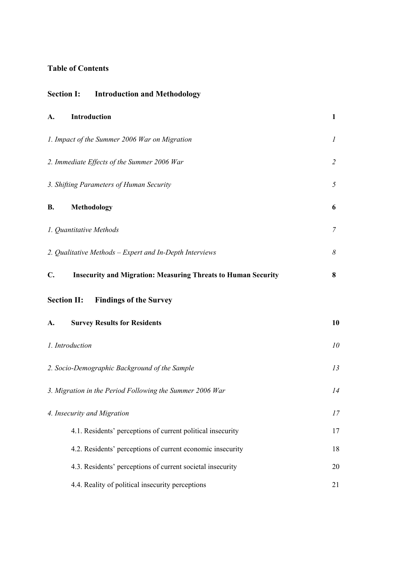# **Table of Contents**

| <b>Section I:</b> Introduction and Methodology                             |                  |
|----------------------------------------------------------------------------|------------------|
| Introduction<br>A.                                                         | $\mathbf{1}$     |
| 1. Impact of the Summer 2006 War on Migration                              | $\boldsymbol{l}$ |
| 2. Immediate Effects of the Summer 2006 War                                | $\overline{2}$   |
| 3. Shifting Parameters of Human Security                                   | 5                |
| В.<br>Methodology                                                          | 6                |
| 1. Quantitative Methods                                                    | 7                |
| 2. Qualitative Methods - Expert and In-Depth Interviews                    | 8                |
| C.<br><b>Insecurity and Migration: Measuring Threats to Human Security</b> | 8                |
| <b>Section II:</b> Findings of the Survey                                  |                  |
| A.<br><b>Survey Results for Residents</b>                                  | 10               |
| 1. Introduction                                                            | 10               |
| 2. Socio-Demographic Background of the Sample                              | 13               |
| 3. Migration in the Period Following the Summer 2006 War                   | 14               |
| 4. Insecurity and Migration                                                | 17               |
| 4.1. Residents' perceptions of current political insecurity                | 17               |
| 4.2. Residents' perceptions of current economic insecurity                 | 18               |
| 4.3. Residents' perceptions of current societal insecurity                 | 20               |
| 4.4. Reality of political insecurity perceptions                           | 21               |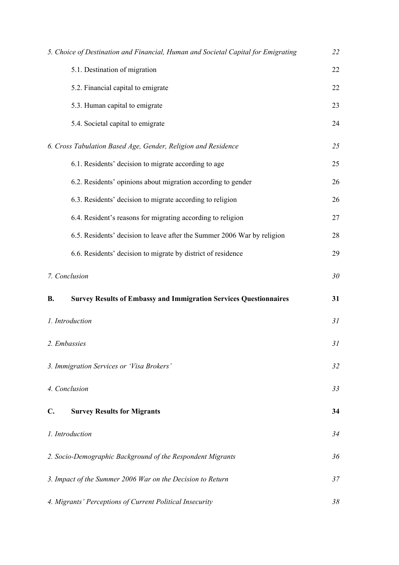|                | 5. Choice of Destination and Financial, Human and Societal Capital for Emigrating | 22 |
|----------------|-----------------------------------------------------------------------------------|----|
|                | 5.1. Destination of migration                                                     | 22 |
|                | 5.2. Financial capital to emigrate                                                | 22 |
|                | 5.3. Human capital to emigrate                                                    | 23 |
|                | 5.4. Societal capital to emigrate                                                 | 24 |
|                | 6. Cross Tabulation Based Age, Gender, Religion and Residence                     | 25 |
|                | 6.1. Residents' decision to migrate according to age                              | 25 |
|                | 6.2. Residents' opinions about migration according to gender                      | 26 |
|                | 6.3. Residents' decision to migrate according to religion                         | 26 |
|                | 6.4. Resident's reasons for migrating according to religion                       | 27 |
|                | 6.5. Residents' decision to leave after the Summer 2006 War by religion           | 28 |
|                | 6.6. Residents' decision to migrate by district of residence                      | 29 |
|                | 7. Conclusion                                                                     | 30 |
| В.             | <b>Survey Results of Embassy and Immigration Services Questionnaires</b>          | 31 |
|                | 1. Introduction                                                                   | 31 |
|                | 2. Embassies                                                                      | 31 |
|                | 3. Immigration Services or 'Visa Brokers'                                         | 32 |
|                | 4. Conclusion                                                                     | 33 |
| $\mathbf{C}$ . | <b>Survey Results for Migrants</b>                                                | 34 |
|                | 1. Introduction                                                                   | 34 |
|                | 2. Socio-Demographic Background of the Respondent Migrants                        | 36 |
|                | 3. Impact of the Summer 2006 War on the Decision to Return                        | 37 |
|                | 4. Migrants' Perceptions of Current Political Insecurity                          | 38 |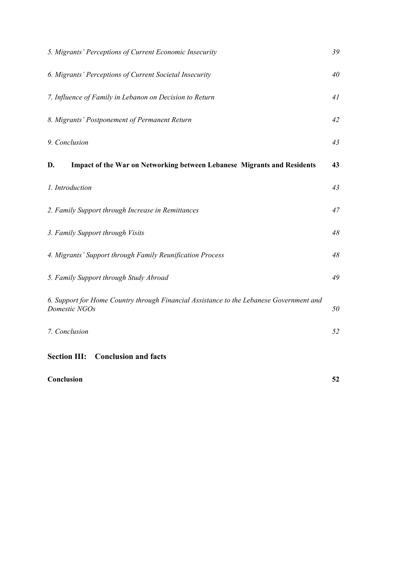| 5. Migrants' Perceptions of Current Economic Insecurity                                                  | 39 |
|----------------------------------------------------------------------------------------------------------|----|
| 6. Migrants' Perceptions of Current Societal Insecurity                                                  | 40 |
| 7. Influence of Family in Lebanon on Decision to Return                                                  | 41 |
| 8. Migrants' Postponement of Permanent Return                                                            | 42 |
| 9. Conclusion                                                                                            | 43 |
| <b>Impact of the War on Networking between Lebanese Migrants and Residents</b><br>D.                     | 43 |
| 1. Introduction                                                                                          | 43 |
| 2. Family Support through Increase in Remittances                                                        | 47 |
| 3. Family Support through Visits                                                                         | 48 |
| 4. Migrants' Support through Family Reunification Process                                                | 48 |
| 5. Family Support through Study Abroad                                                                   | 49 |
| 6. Support for Home Country through Financial Assistance to the Lebanese Government and<br>Domestic NGOs | 50 |
| 7. Conclusion                                                                                            | 52 |
| <b>Section III:</b><br><b>Conclusion and facts</b>                                                       |    |

# **Conclusion 52**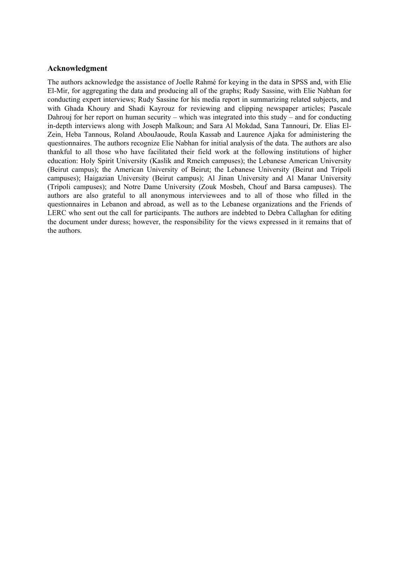# **Acknowledgment**

The authors acknowledge the assistance of Joelle Rahmé for keying in the data in SPSS and, with Elie El-Mir, for aggregating the data and producing all of the graphs; Rudy Sassine, with Elie Nabhan for conducting expert interviews; Rudy Sassine for his media report in summarizing related subjects, and with Ghada Khoury and Shadi Kayrouz for reviewing and clipping newspaper articles; Pascale Dahrouj for her report on human security – which was integrated into this study – and for conducting in-depth interviews along with Joseph Malkoun; and Sara Al Mokdad, Sana Tannouri, Dr. Elias El-Zein, Heba Tannous, Roland AbouJaoude, Roula Kassab and Laurence Ajaka for administering the questionnaires. The authors recognize Elie Nabhan for initial analysis of the data. The authors are also thankful to all those who have facilitated their field work at the following institutions of higher education: Holy Spirit University (Kaslik and Rmeich campuses); the Lebanese American University (Beirut campus); the American University of Beirut; the Lebanese University (Beirut and Tripoli campuses); Haigazian University (Beirut campus); Al Jinan University and Al Manar University (Tripoli campuses); and Notre Dame University (Zouk Mosbeh, Chouf and Barsa campuses). The authors are also grateful to all anonymous interviewees and to all of those who filled in the questionnaires in Lebanon and abroad, as well as to the Lebanese organizations and the Friends of LERC who sent out the call for participants. The authors are indebted to Debra Callaghan for editing the document under duress; however, the responsibility for the views expressed in it remains that of the authors.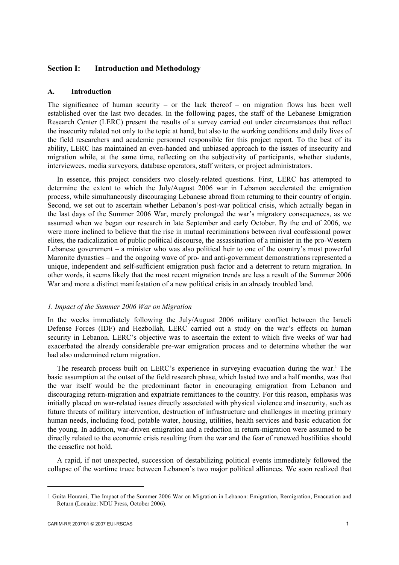# **Section I: Introduction and Methodology**

## **A. Introduction**

The significance of human security – or the lack thereof – on migration flows has been well established over the last two decades. In the following pages, the staff of the Lebanese Emigration Research Center (LERC) present the results of a survey carried out under circumstances that reflect the insecurity related not only to the topic at hand, but also to the working conditions and daily lives of the field researchers and academic personnel responsible for this project report. To the best of its ability, LERC has maintained an even-handed and unbiased approach to the issues of insecurity and migration while, at the same time, reflecting on the subjectivity of participants, whether students, interviewees, media surveyors, database operators, staff writers, or project administrators.

In essence, this project considers two closely-related questions. First, LERC has attempted to determine the extent to which the July/August 2006 war in Lebanon accelerated the emigration process, while simultaneously discouraging Lebanese abroad from returning to their country of origin. Second, we set out to ascertain whether Lebanon's post-war political crisis, which actually began in the last days of the Summer 2006 War, merely prolonged the war's migratory consequences, as we assumed when we began our research in late September and early October. By the end of 2006, we were more inclined to believe that the rise in mutual recriminations between rival confessional power elites, the radicalization of public political discourse, the assassination of a minister in the pro-Western Lebanese government – a minister who was also political heir to one of the country's most powerful Maronite dynasties – and the ongoing wave of pro- and anti-government demonstrations represented a unique, independent and self-sufficient emigration push factor and a deterrent to return migration. In other words, it seems likely that the most recent migration trends are less a result of the Summer 2006 War and more a distinct manifestation of a new political crisis in an already troubled land.

## *1. Impact of the Summer 2006 War on Migration*

In the weeks immediately following the July/August 2006 military conflict between the Israeli Defense Forces (IDF) and Hezbollah, LERC carried out a study on the war's effects on human security in Lebanon. LERC's objective was to ascertain the extent to which five weeks of war had exacerbated the already considerable pre-war emigration process and to determine whether the war had also undermined return migration.

The research process built on LERC's experience in surveying evacuation during the war.<sup>1</sup> The basic assumption at the outset of the field research phase, which lasted two and a half months, was that the war itself would be the predominant factor in encouraging emigration from Lebanon and discouraging return-migration and expatriate remittances to the country. For this reason, emphasis was initially placed on war-related issues directly associated with physical violence and insecurity, such as future threats of military intervention, destruction of infrastructure and challenges in meeting primary human needs, including food, potable water, housing, utilities, health services and basic education for the young. In addition, war-driven emigration and a reduction in return-migration were assumed to be directly related to the economic crisis resulting from the war and the fear of renewed hostilities should the ceasefire not hold.

A rapid, if not unexpected, succession of destabilizing political events immediately followed the collapse of the wartime truce between Lebanon's two major political alliances. We soon realized that

<sup>1</sup> Guita Hourani, The Impact of the Summer 2006 War on Migration in Lebanon: Emigration, Remigration, Evacuation and Return (Louaize: NDU Press, October 2006).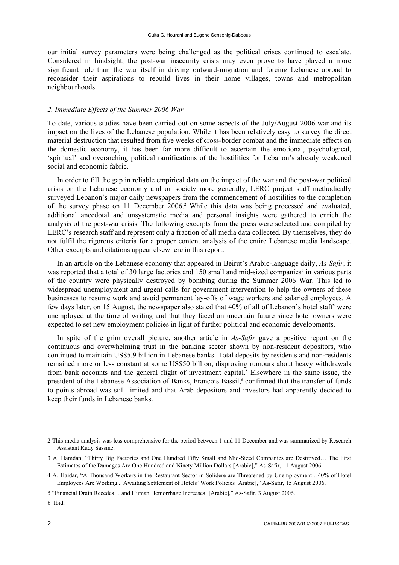our initial survey parameters were being challenged as the political crises continued to escalate. Considered in hindsight, the post-war insecurity crisis may even prove to have played a more significant role than the war itself in driving outward-migration and forcing Lebanese abroad to reconsider their aspirations to rebuild lives in their home villages, towns and metropolitan neighbourhoods.

## *2. Immediate Effects of the Summer 2006 War*

To date, various studies have been carried out on some aspects of the July/August 2006 war and its impact on the lives of the Lebanese population. While it has been relatively easy to survey the direct material destruction that resulted from five weeks of cross-border combat and the immediate effects on the domestic economy, it has been far more difficult to ascertain the emotional, psychological, 'spiritual' and overarching political ramifications of the hostilities for Lebanon's already weakened social and economic fabric.

In order to fill the gap in reliable empirical data on the impact of the war and the post-war political crisis on the Lebanese economy and on society more generally, LERC project staff methodically surveyed Lebanon's major daily newspapers from the commencement of hostilities to the completion of the survey phase on 11 December 2006.<sup>2</sup> While this data was being processed and evaluated, additional anecdotal and unsystematic media and personal insights were gathered to enrich the analysis of the post-war crisis. The following excerpts from the press were selected and compiled by LERC's research staff and represent only a fraction of all media data collected. By themselves, they do not fulfil the rigorous criteria for a proper content analysis of the entire Lebanese media landscape. Other excerpts and citations appear elsewhere in this report.

In an article on the Lebanese economy that appeared in Beirut's Arabic-language daily, *As-Safir*, it was reported that a total of 30 large factories and 150 small and mid-sized companies<sup>3</sup> in various parts of the country were physically destroyed by bombing during the Summer 2006 War. This led to widespread unemployment and urgent calls for government intervention to help the owners of these businesses to resume work and avoid permanent lay-offs of wage workers and salaried employees. A few days later, on 15 August, the newspaper also stated that 40% of all of Lebanon's hotel staff<sup>4</sup> were unemployed at the time of writing and that they faced an uncertain future since hotel owners were expected to set new employment policies in light of further political and economic developments.

In spite of the grim overall picture, another article in *As-Safir* gave a positive report on the continuous and overwhelming trust in the banking sector shown by non-resident depositors, who continued to maintain US\$5.9 billion in Lebanese banks. Total deposits by residents and non-residents remained more or less constant at some US\$50 billion, disproving rumours about heavy withdrawals from bank accounts and the general flight of investment capital.<sup>5</sup> Elsewhere in the same issue, the president of the Lebanese Association of Banks, François Bassil,<sup>6</sup> confirmed that the transfer of funds to points abroad was still limited and that Arab depositors and investors had apparently decided to keep their funds in Lebanese banks.

<sup>2</sup> This media analysis was less comprehensive for the period between 1 and 11 December and was summarized by Research Assistant Rudy Sassine.

<sup>3</sup> A. Hamdan, "Thirty Big Factories and One Hundred Fifty Small and Mid-Sized Companies are Destroyed… The First Estimates of the Damages Are One Hundred and Ninety Million Dollars [Arabic]," As-Safir, 11 August 2006.

<sup>4</sup> A. Haidar, "A Thousand Workers in the Restaurant Sector in Solidere are Threatened by Unemployment…40% of Hotel Employees Are Working... Awaiting Settlement of Hotels' Work Policies [Arabic]," As-Safir, 15 August 2006.

<sup>5 &</sup>quot;Financial Drain Recedes… and Human Hemorrhage Increases! [Arabic]," As-Safir, 3 August 2006.

<sup>6</sup> Ibid.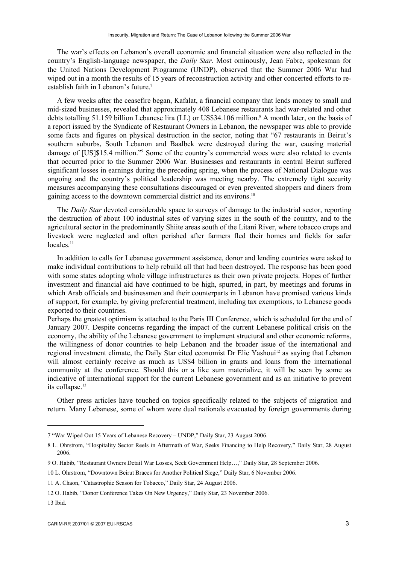The war's effects on Lebanon's overall economic and financial situation were also reflected in the country's English-language newspaper, the *Daily Star*. Most ominously, Jean Fabre, spokesman for the United Nations Development Programme (UNDP), observed that the Summer 2006 War had wiped out in a month the results of 15 years of reconstruction activity and other concerted efforts to reestablish faith in Lebanon's future.7

A few weeks after the ceasefire began, Kafalat, a financial company that lends money to small and mid-sized businesses, revealed that approximately 408 Lebanese restaurants had war-related and other debts totalling 51.159 billion Lebanese lira (LL) or US\$34.106 million.<sup>8</sup> A month later, on the basis of a report issued by the Syndicate of Restaurant Owners in Lebanon, the newspaper was able to provide some facts and figures on physical destruction in the sector, noting that "67 restaurants in Beirut's southern suburbs, South Lebanon and Baalbek were destroyed during the war, causing material damage of [US]\$15.4 million."9 Some of the country's commercial woes were also related to events that occurred prior to the Summer 2006 War. Businesses and restaurants in central Beirut suffered significant losses in earnings during the preceding spring, when the process of National Dialogue was ongoing and the country's political leadership was meeting nearby. The extremely tight security measures accompanying these consultations discouraged or even prevented shoppers and diners from gaining access to the downtown commercial district and its environs.10

The *Daily Star* devoted considerable space to surveys of damage to the industrial sector, reporting the destruction of about 100 industrial sites of varying sizes in the south of the country, and to the agricultural sector in the predominantly Shiite areas south of the Litani River, where tobacco crops and livestock were neglected and often perished after farmers fled their homes and fields for safer locales.<sup>11</sup>

In addition to calls for Lebanese government assistance, donor and lending countries were asked to make individual contributions to help rebuild all that had been destroyed. The response has been good with some states adopting whole village infrastructures as their own private projects. Hopes of further investment and financial aid have continued to be high, spurred, in part, by meetings and forums in which Arab officials and businessmen and their counterparts in Lebanon have promised various kinds of support, for example, by giving preferential treatment, including tax exemptions, to Lebanese goods exported to their countries.

Perhaps the greatest optimism is attached to the Paris III Conference, which is scheduled for the end of January 2007. Despite concerns regarding the impact of the current Lebanese political crisis on the economy, the ability of the Lebanese government to implement structural and other economic reforms, the willingness of donor countries to help Lebanon and the broader issue of the international and regional investment climate, the Daily Star cited economist Dr Elie Yashoui<sup>12</sup> as saying that Lebanon will almost certainly receive as much as US\$4 billion in grants and loans from the international community at the conference. Should this or a like sum materialize, it will be seen by some as indicative of international support for the current Lebanese government and as an initiative to prevent its collapse.<sup>13</sup>

Other press articles have touched on topics specifically related to the subjects of migration and return. Many Lebanese, some of whom were dual nationals evacuated by foreign governments during

<sup>7 &</sup>quot;War Wiped Out 15 Years of Lebanese Recovery – UNDP," Daily Star, 23 August 2006.

<sup>8</sup> L. Ohrstrom, "Hospitality Sector Reels in Aftermath of War, Seeks Financing to Help Recovery," Daily Star, 28 August 2006.

<sup>9</sup> O. Habib, "Restaurant Owners Detail War Losses, Seek Government Help…," Daily Star, 28 September 2006.

<sup>10</sup> L. Ohrstrom, "Downtown Beirut Braces for Another Political Siege," Daily Star, 6 November 2006.

<sup>11</sup> A. Chaon, "Catastrophic Season for Tobacco," Daily Star, 24 August 2006.

<sup>12</sup> O. Habib, "Donor Conference Takes On New Urgency," Daily Star, 23 November 2006.

<sup>13</sup> Ibid.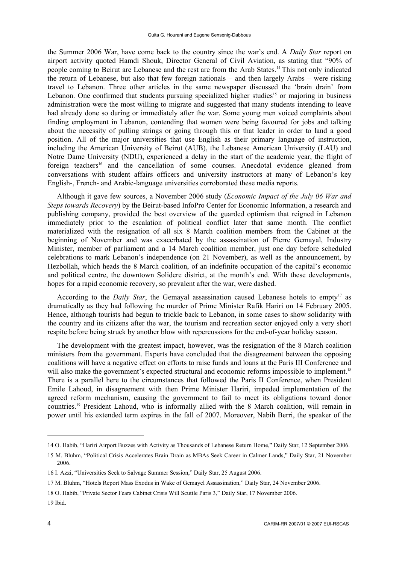the Summer 2006 War, have come back to the country since the war's end. A *Daily Star* report on airport activity quoted Hamdi Shouk, Director General of Civil Aviation, as stating that "90% of people coming to Beirut are Lebanese and the rest are from the Arab States.14 This not only indicated the return of Lebanese, but also that few foreign nationals – and then largely Arabs – were risking travel to Lebanon. Three other articles in the same newspaper discussed the 'brain drain' from Lebanon. One confirmed that students pursuing specialized higher studies<sup>15</sup> or majoring in business administration were the most willing to migrate and suggested that many students intending to leave had already done so during or immediately after the war. Some young men voiced complaints about finding employment in Lebanon, contending that women were being favoured for jobs and talking about the necessity of pulling strings or going through this or that leader in order to land a good position. All of the major universities that use English as their primary language of instruction, including the American University of Beirut (AUB), the Lebanese American University (LAU) and Notre Dame University (NDU), experienced a delay in the start of the academic year, the flight of foreign teachers<sup>16</sup> and the cancellation of some courses. Anecdotal evidence gleaned from conversations with student affairs officers and university instructors at many of Lebanon's key English-, French- and Arabic-language universities corroborated these media reports.

Although it gave few sources, a November 2006 study (*Economic Impact of the July 06 War and Steps towards Recovery*) by the Beirut-based InfoPro Center for Economic Information, a research and publishing company, provided the best overview of the guarded optimism that reigned in Lebanon immediately prior to the escalation of political conflict later that same month. The conflict materialized with the resignation of all six 8 March coalition members from the Cabinet at the beginning of November and was exacerbated by the assassination of Pierre Gemayal, Industry Minister, member of parliament and a 14 March coalition member, just one day before scheduled celebrations to mark Lebanon's independence (on 21 November), as well as the announcement, by Hezbollah, which heads the 8 March coalition, of an indefinite occupation of the capital's economic and political centre, the downtown Solidere district, at the month's end. With these developments, hopes for a rapid economic recovery, so prevalent after the war, were dashed.

According to the *Daily Star*, the Gemayal assassination caused Lebanese hotels to empty<sup>17</sup> as dramatically as they had following the murder of Prime Minister Rafik Hariri on 14 February 2005. Hence, although tourists had begun to trickle back to Lebanon, in some cases to show solidarity with the country and its citizens after the war, the tourism and recreation sector enjoyed only a very short respite before being struck by another blow with repercussions for the end-of-year holiday season.

The development with the greatest impact, however, was the resignation of the 8 March coalition ministers from the government. Experts have concluded that the disagreement between the opposing coalitions will have a negative effect on efforts to raise funds and loans at the Paris III Conference and will also make the government's expected structural and economic reforms impossible to implement.<sup>18</sup> There is a parallel here to the circumstances that followed the Paris II Conference, when President Emile Lahoud, in disagreement with then Prime Minister Hariri, impeded implementation of the agreed reform mechanism, causing the government to fail to meet its obligations toward donor countries.19 President Lahoud, who is informally allied with the 8 March coalition, will remain in power until his extended term expires in the fall of 2007. Moreover, Nabih Berri, the speaker of the

18 O. Habib, "Private Sector Fears Cabinet Crisis Will Scuttle Paris 3," Daily Star, 17 November 2006.

19 Ibid.

<sup>14</sup> O. Habib, "Hariri Airport Buzzes with Activity as Thousands of Lebanese Return Home," Daily Star, 12 September 2006.

<sup>15</sup> M. Bluhm, "Political Crisis Accelerates Brain Drain as MBAs Seek Career in Calmer Lands," Daily Star, 21 November 2006.

<sup>16</sup> I. Azzi, "Universities Seek to Salvage Summer Session," Daily Star, 25 August 2006.

<sup>17</sup> M. Bluhm, "Hotels Report Mass Exodus in Wake of Gemayel Assassination," Daily Star, 24 November 2006.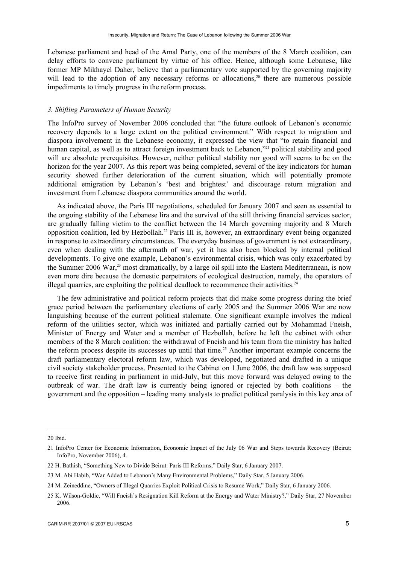Lebanese parliament and head of the Amal Party, one of the members of the 8 March coalition, can delay efforts to convene parliament by virtue of his office. Hence, although some Lebanese, like former MP Mikhayel Daher, believe that a parliamentary vote supported by the governing majority will lead to the adoption of any necessary reforms or allocations.<sup>20</sup> there are numerous possible impediments to timely progress in the reform process.

## *3. Shifting Parameters of Human Security*

The InfoPro survey of November 2006 concluded that "the future outlook of Lebanon's economic recovery depends to a large extent on the political environment." With respect to migration and diaspora involvement in the Lebanese economy, it expressed the view that "to retain financial and human capital, as well as to attract foreign investment back to Lebanon,"21 political stability and good will are absolute prerequisites. However, neither political stability nor good will seems to be on the horizon for the year 2007. As this report was being completed, several of the key indicators for human security showed further deterioration of the current situation, which will potentially promote additional emigration by Lebanon's 'best and brightest' and discourage return migration and investment from Lebanese diaspora communities around the world.

As indicated above, the Paris III negotiations, scheduled for January 2007 and seen as essential to the ongoing stability of the Lebanese lira and the survival of the still thriving financial services sector, are gradually falling victim to the conflict between the 14 March governing majority and 8 March opposition coalition, led by Hezbollah.22 Paris III is, however, an extraordinary event being organized in response to extraordinary circumstances. The everyday business of government is not extraordinary, even when dealing with the aftermath of war, yet it has also been blocked by internal political developments. To give one example, Lebanon's environmental crisis, which was only exacerbated by the Summer 2006 War,<sup>23</sup> most dramatically, by a large oil spill into the Eastern Mediterranean, is now even more dire because the domestic perpetrators of ecological destruction, namely, the operators of illegal quarries, are exploiting the political deadlock to recommence their activities.<sup>24</sup>

The few administrative and political reform projects that did make some progress during the brief grace period between the parliamentary elections of early 2005 and the Summer 2006 War are now languishing because of the current political stalemate. One significant example involves the radical reform of the utilities sector, which was initiated and partially carried out by Mohammad Fneish, Minister of Energy and Water and a member of Hezbollah, before he left the cabinet with other members of the 8 March coalition: the withdrawal of Fneish and his team from the ministry has halted the reform process despite its successes up until that time.<sup>25</sup> Another important example concerns the draft parliamentary electoral reform law, which was developed, negotiated and drafted in a unique civil society stakeholder process. Presented to the Cabinet on 1 June 2006, the draft law was supposed to receive first reading in parliament in mid-July, but this move forward was delayed owing to the outbreak of war. The draft law is currently being ignored or rejected by both coalitions – the government and the opposition – leading many analysts to predict political paralysis in this key area of

<sup>20</sup> Ibid.

<sup>21</sup> InfoPro Center for Economic Information, Economic Impact of the July 06 War and Steps towards Recovery (Beirut: InfoPro, November 2006), 4.

<sup>22</sup> H. Bathish, "Something New to Divide Beirut: Paris III Reforms," Daily Star, 6 January 2007.

<sup>23</sup> M. Abi Habib, "War Added to Lebanon's Many Environmental Problems," Daily Star, 5 January 2006.

<sup>24</sup> M. Zeineddine, "Owners of Illegal Quarries Exploit Political Crisis to Resume Work," Daily Star, 6 January 2006.

<sup>25</sup> K. Wilson-Goldie, "Will Fneish's Resignation Kill Reform at the Energy and Water Ministry?," Daily Star, 27 November 2006.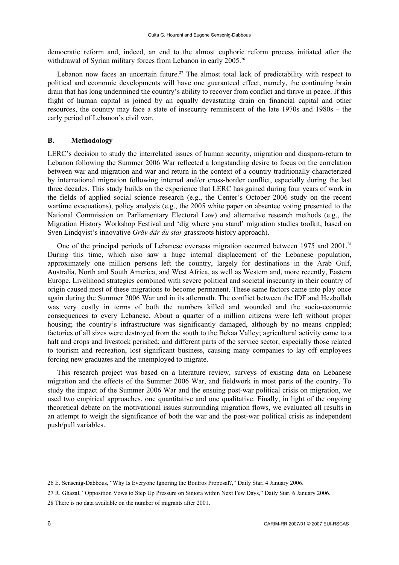democratic reform and, indeed, an end to the almost euphoric reform process initiated after the withdrawal of Syrian military forces from Lebanon in early 2005.<sup>26</sup>

Lebanon now faces an uncertain future.<sup>27</sup> The almost total lack of predictability with respect to political and economic developments will have one guaranteed effect, namely, the continuing brain drain that has long undermined the country's ability to recover from conflict and thrive in peace. If this flight of human capital is joined by an equally devastating drain on financial capital and other resources, the country may face a state of insecurity reminiscent of the late 1970s and 1980s – the early period of Lebanon's civil war.

## **B. Methodology**

LERC's decision to study the interrelated issues of human security, migration and diaspora-return to Lebanon following the Summer 2006 War reflected a longstanding desire to focus on the correlation between war and migration and war and return in the context of a country traditionally characterized by international migration following internal and/or cross-border conflict, especially during the last three decades. This study builds on the experience that LERC has gained during four years of work in the fields of applied social science research (e.g., the Center's October 2006 study on the recent wartime evacuations), policy analysis (e.g., the 2005 white paper on absentee voting presented to the National Commission on Parliamentary Electoral Law) and alternative research methods (e.g., the Migration History Workshop Festival and 'dig where you stand' migration studies toolkit, based on Sven Lindqvist's innovative *Gräv där du star* grassroots history approach).

One of the principal periods of Lebanese overseas migration occurred between 1975 and 2001.<sup>28</sup> During this time, which also saw a huge internal displacement of the Lebanese population, approximately one million persons left the country, largely for destinations in the Arab Gulf, Australia, North and South America, and West Africa, as well as Western and, more recently, Eastern Europe. Livelihood strategies combined with severe political and societal insecurity in their country of origin caused most of these migrations to become permanent. These same factors came into play once again during the Summer 2006 War and in its aftermath. The conflict between the IDF and Hezbollah was very costly in terms of both the numbers killed and wounded and the socio-economic consequences to every Lebanese. About a quarter of a million citizens were left without proper housing; the country's infrastructure was significantly damaged, although by no means crippled; factories of all sizes were destroyed from the south to the Bekaa Valley; agricultural activity came to a halt and crops and livestock perished; and different parts of the service sector, especially those related to tourism and recreation, lost significant business, causing many companies to lay off employees forcing new graduates and the unemployed to migrate.

This research project was based on a literature review, surveys of existing data on Lebanese migration and the effects of the Summer 2006 War, and fieldwork in most parts of the country. To study the impact of the Summer 2006 War and the ensuing post-war political crisis on migration, we used two empirical approaches, one quantitative and one qualitative. Finally, in light of the ongoing theoretical debate on the motivational issues surrounding migration flows, we evaluated all results in an attempt to weigh the significance of both the war and the post-war political crisis as independent push/pull variables.

<sup>26</sup> E. Sensenig-Dabbous, "Why Is Everyone Ignoring the Boutros Proposal?," Daily Star, 4 January 2006.

<sup>27</sup> R. Ghazal, "Opposition Vows to Step Up Pressure on Siniora within Next Few Days," Daily Star, 6 January 2006. 28 There is no data available on the number of migrants after 2001.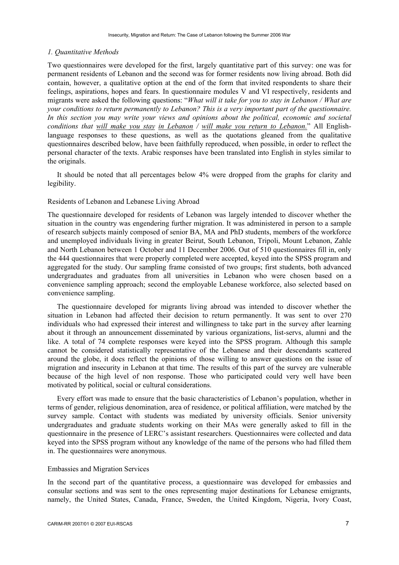## *1. Quantitative Methods*

Two questionnaires were developed for the first, largely quantitative part of this survey: one was for permanent residents of Lebanon and the second was for former residents now living abroad. Both did contain, however, a qualitative option at the end of the form that invited respondents to share their feelings, aspirations, hopes and fears. In questionnaire modules V and VI respectively, residents and migrants were asked the following questions: "*What will it take for you to stay in Lebanon / What are your conditions to return permanently to Lebanon? This is a very important part of the questionnaire. In this section you may write your views and opinions about the political, economic and societal conditions that will make you stay in Lebanon / will make you return to Lebanon.*" All Englishlanguage responses to these questions, as well as the quotations gleaned from the qualitative questionnaires described below, have been faithfully reproduced, when possible, in order to reflect the personal character of the texts. Arabic responses have been translated into English in styles similar to the originals.

It should be noted that all percentages below 4% were dropped from the graphs for clarity and legibility.

## Residents of Lebanon and Lebanese Living Abroad

The questionnaire developed for residents of Lebanon was largely intended to discover whether the situation in the country was engendering further migration. It was administered in person to a sample of research subjects mainly composed of senior BA, MA and PhD students, members of the workforce and unemployed individuals living in greater Beirut, South Lebanon, Tripoli, Mount Lebanon, Zahle and North Lebanon between 1 October and 11 December 2006. Out of 510 questionnaires fill in, only the 444 questionnaires that were properly completed were accepted, keyed into the SPSS program and aggregated for the study. Our sampling frame consisted of two groups; first students, both advanced undergraduates and graduates from all universities in Lebanon who were chosen based on a convenience sampling approach; second the employable Lebanese workforce, also selected based on convenience sampling.

The questionnaire developed for migrants living abroad was intended to discover whether the situation in Lebanon had affected their decision to return permanently. It was sent to over 270 individuals who had expressed their interest and willingness to take part in the survey after learning about it through an announcement disseminated by various organizations, list-servs, alumni and the like. A total of 74 complete responses were keyed into the SPSS program. Although this sample cannot be considered statistically representative of the Lebanese and their descendants scattered around the globe, it does reflect the opinions of those willing to answer questions on the issue of migration and insecurity in Lebanon at that time. The results of this part of the survey are vulnerable because of the high level of non response. Those who participated could very well have been motivated by political, social or cultural considerations.

Every effort was made to ensure that the basic characteristics of Lebanon's population, whether in terms of gender, religious denomination, area of residence, or political affiliation, were matched by the survey sample. Contact with students was mediated by university officials. Senior university undergraduates and graduate students working on their MAs were generally asked to fill in the questionnaire in the presence of LERC's assistant researchers. Questionnaires were collected and data keyed into the SPSS program without any knowledge of the name of the persons who had filled them in. The questionnaires were anonymous.

### Embassies and Migration Services

In the second part of the quantitative process, a questionnaire was developed for embassies and consular sections and was sent to the ones representing major destinations for Lebanese emigrants, namely, the United States, Canada, France, Sweden, the United Kingdom, Nigeria, Ivory Coast,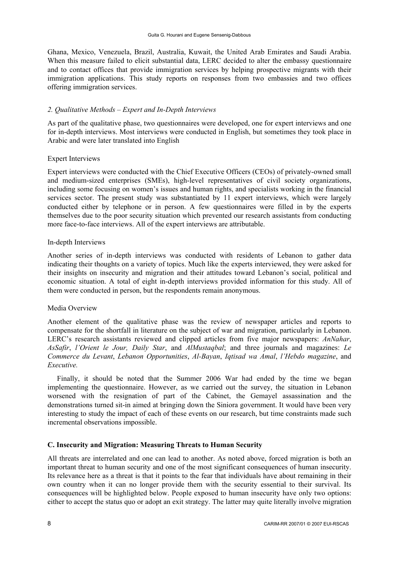Ghana, Mexico, Venezuela, Brazil, Australia, Kuwait, the United Arab Emirates and Saudi Arabia. When this measure failed to elicit substantial data, LERC decided to alter the embassy questionnaire and to contact offices that provide immigration services by helping prospective migrants with their immigration applications. This study reports on responses from two embassies and two offices offering immigration services.

## *2. Qualitative Methods – Expert and In-Depth Interviews*

As part of the qualitative phase, two questionnaires were developed, one for expert interviews and one for in-depth interviews. Most interviews were conducted in English, but sometimes they took place in Arabic and were later translated into English

## Expert Interviews

Expert interviews were conducted with the Chief Executive Officers (CEOs) of privately-owned small and medium-sized enterprises (SMEs), high-level representatives of civil society organizations, including some focusing on women's issues and human rights, and specialists working in the financial services sector. The present study was substantiated by 11 expert interviews, which were largely conducted either by telephone or in person. A few questionnaires were filled in by the experts themselves due to the poor security situation which prevented our research assistants from conducting more face-to-face interviews. All of the expert interviews are attributable.

## In-depth Interviews

Another series of in-depth interviews was conducted with residents of Lebanon to gather data indicating their thoughts on a variety of topics. Much like the experts interviewed, they were asked for their insights on insecurity and migration and their attitudes toward Lebanon's social, political and economic situation. A total of eight in-depth interviews provided information for this study. All of them were conducted in person, but the respondents remain anonymous.

## Media Overview

Another element of the qualitative phase was the review of newspaper articles and reports to compensate for the shortfall in literature on the subject of war and migration, particularly in Lebanon. LERC's research assistants reviewed and clipped articles from five major newspapers: *AnNahar*, *AsSafir*, *l'Orient le Jour, Daily Star*, and *AlMustaqbal*; and three journals and magazines: *Le Commerce du Levant*, *Lebanon Opportunities*, *Al-Bayan*, *Iqtisad wa Amal*, *l'Hebdo magazine*, and *Executive.*

Finally, it should be noted that the Summer 2006 War had ended by the time we began implementing the questionnaire. However, as we carried out the survey, the situation in Lebanon worsened with the resignation of part of the Cabinet, the Gemayel assassination and the demonstrations turned sit-in aimed at bringing down the Siniora government. It would have been very interesting to study the impact of each of these events on our research, but time constraints made such incremental observations impossible.

## **C. Insecurity and Migration: Measuring Threats to Human Security**

All threats are interrelated and one can lead to another. As noted above, forced migration is both an important threat to human security and one of the most significant consequences of human insecurity. Its relevance here as a threat is that it points to the fear that individuals have about remaining in their own country when it can no longer provide them with the security essential to their survival. Its consequences will be highlighted below. People exposed to human insecurity have only two options: either to accept the status quo or adopt an exit strategy. The latter may quite literally involve migration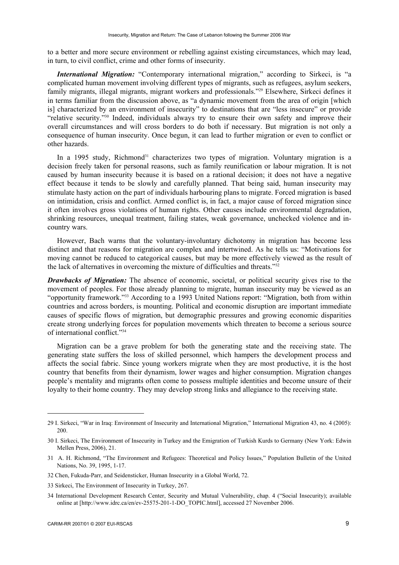to a better and more secure environment or rebelling against existing circumstances, which may lead, in turn, to civil conflict, crime and other forms of insecurity.

*International Migration:* "Contemporary international migration," according to Sirkeci, is "a complicated human movement involving different types of migrants, such as refugees, asylum seekers, family migrants, illegal migrants, migrant workers and professionals."<sup>29</sup> Elsewhere, Sirkeci defines it in terms familiar from the discussion above, as "a dynamic movement from the area of origin [which is] characterized by an environment of insecurity" to destinations that are "less insecure" or provide "relative security."30 Indeed, individuals always try to ensure their own safety and improve their overall circumstances and will cross borders to do both if necessary. But migration is not only a consequence of human insecurity. Once begun, it can lead to further migration or even to conflict or other hazards.

In a 1995 study, Richmond<sup>31</sup> characterizes two types of migration. Voluntary migration is a decision freely taken for personal reasons, such as family reunification or labour migration. It is not caused by human insecurity because it is based on a rational decision; it does not have a negative effect because it tends to be slowly and carefully planned. That being said, human insecurity may stimulate hasty action on the part of individuals harbouring plans to migrate. Forced migration is based on intimidation, crisis and conflict. Armed conflict is, in fact, a major cause of forced migration since it often involves gross violations of human rights. Other causes include environmental degradation, shrinking resources, unequal treatment, failing states, weak governance, unchecked violence and incountry wars.

However, Bach warns that the voluntary-involuntary dichotomy in migration has become less distinct and that reasons for migration are complex and intertwined. As he tells us: "Motivations for moving cannot be reduced to categorical causes, but may be more effectively viewed as the result of the lack of alternatives in overcoming the mixture of difficulties and threats."32

*Drawbacks of Migration:* The absence of economic, societal, or political security gives rise to the movement of peoples. For those already planning to migrate, human insecurity may be viewed as an "opportunity framework."33 According to a 1993 United Nations report: "Migration, both from within countries and across borders, is mounting. Political and economic disruption are important immediate causes of specific flows of migration, but demographic pressures and growing economic disparities create strong underlying forces for population movements which threaten to become a serious source of international conflict."34

Migration can be a grave problem for both the generating state and the receiving state. The generating state suffers the loss of skilled personnel, which hampers the development process and affects the social fabric. Since young workers migrate when they are most productive, it is the host country that benefits from their dynamism, lower wages and higher consumption. Migration changes people's mentality and migrants often come to possess multiple identities and become unsure of their loyalty to their home country. They may develop strong links and allegiance to the receiving state.

<sup>29</sup> I. Sirkeci, "War in Iraq: Environment of Insecurity and International Migration," International Migration 43, no. 4 (2005): 200.

<sup>30</sup> I. Sirkeci, The Environment of Insecurity in Turkey and the Emigration of Turkish Kurds to Germany (New York: Edwin Mellen Press, 2006), 21.

<sup>31</sup> A. H. Richmond, "The Environment and Refugees: Theoretical and Policy Issues," Population Bulletin of the United Nations, No. 39, 1995, 1-17.

<sup>32</sup> Chen, Fukuda-Parr, and Seidensticker, Human Insecurity in a Global World, 72.

<sup>33</sup> Sirkeci, The Environment of Insecurity in Turkey, 267.

<sup>34</sup> International Development Research Center, Security and Mutual Vulnerability, chap. 4 ("Social Insecurity); available online at [http://www.idrc.ca/en/ev-25575-201-1-DO\_TOPIC.html], accessed 27 November 2006.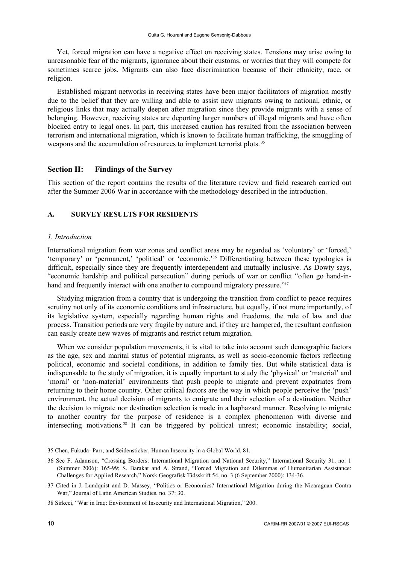Yet, forced migration can have a negative effect on receiving states. Tensions may arise owing to unreasonable fear of the migrants, ignorance about their customs, or worries that they will compete for sometimes scarce jobs. Migrants can also face discrimination because of their ethnicity, race, or religion.

Established migrant networks in receiving states have been major facilitators of migration mostly due to the belief that they are willing and able to assist new migrants owing to national, ethnic, or religious links that may actually deepen after migration since they provide migrants with a sense of belonging. However, receiving states are deporting larger numbers of illegal migrants and have often blocked entry to legal ones. In part, this increased caution has resulted from the association between terrorism and international migration, which is known to facilitate human trafficking, the smuggling of weapons and the accumulation of resources to implement terrorist plots.<sup>35</sup>

## **Section II: Findings of the Survey**

This section of the report contains the results of the literature review and field research carried out after the Summer 2006 War in accordance with the methodology described in the introduction.

## **A. SURVEY RESULTS FOR RESIDENTS**

#### *1. Introduction*

International migration from war zones and conflict areas may be regarded as 'voluntary' or 'forced,' 'temporary' or 'permanent,' 'political' or 'economic.'36 Differentiating between these typologies is difficult, especially since they are frequently interdependent and mutually inclusive. As Dowty says, "economic hardship and political persecution" during periods of war or conflict "often go hand-inhand and frequently interact with one another to compound migratory pressure."<sup>37</sup>

Studying migration from a country that is undergoing the transition from conflict to peace requires scrutiny not only of its economic conditions and infrastructure, but equally, if not more importantly, of its legislative system, especially regarding human rights and freedoms, the rule of law and due process. Transition periods are very fragile by nature and, if they are hampered, the resultant confusion can easily create new waves of migrants and restrict return migration.

When we consider population movements, it is vital to take into account such demographic factors as the age, sex and marital status of potential migrants, as well as socio-economic factors reflecting political, economic and societal conditions, in addition to family ties. But while statistical data is indispensable to the study of migration, it is equally important to study the 'physical' or 'material' and 'moral' or 'non-material' environments that push people to migrate and prevent expatriates from returning to their home country. Other critical factors are the way in which people perceive the 'push' environment, the actual decision of migrants to emigrate and their selection of a destination. Neither the decision to migrate nor destination selection is made in a haphazard manner. Resolving to migrate to another country for the purpose of residence is a complex phenomenon with diverse and intersecting motivations*.* <sup>38</sup> It can be triggered by political unrest; economic instability; social,

<sup>35</sup> Chen, Fukuda- Parr, and Seidensticker, Human Insecurity in a Global World, 81.

<sup>36</sup> See F. Adamson, "Crossing Borders: International Migration and National Security," International Security 31, no. 1 (Summer 2006): 165-99; S. Barakat and A. Strand, "Forced Migration and Dilemmas of Humanitarian Assistance: Challenges for Applied Research," Norsk Geografisk Tidsskrift 54, no. 3 (6 September 2000): 134-36.

<sup>37</sup> Cited in J. Lundquist and D. Massey, "Politics or Economics? International Migration during the Nicaraguan Contra War," Journal of Latin American Studies, no. 37: 30.

<sup>38</sup> Sirkeci, "War in Iraq: Environment of Insecurity and International Migration," 200.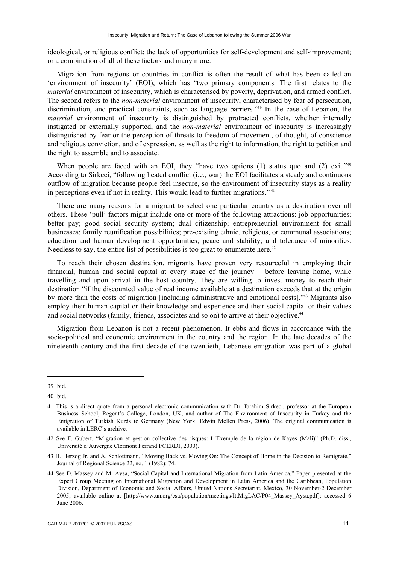ideological, or religious conflict; the lack of opportunities for self-development and self-improvement; or a combination of all of these factors and many more.

Migration from regions or countries in conflict is often the result of what has been called an 'environment of insecurity' (EOI), which has "two primary components. The first relates to the *material* environment of insecurity, which is characterised by poverty, deprivation, and armed conflict. The second refers to the *non-material* environment of insecurity, characterised by fear of persecution, discrimination, and practical constraints, such as language barriers*.*"39 In the case of Lebanon, the *material* environment of insecurity is distinguished by protracted conflicts, whether internally instigated or externally supported, and the *non-material* environment of insecurity is increasingly distinguished by fear or the perception of threats to freedom of movement, of thought, of conscience and religious conviction, and of expression, as well as the right to information, the right to petition and the right to assemble and to associate.

When people are faced with an EOI, they "have two options (1) status quo and (2) exit."<sup>40</sup> According to Sirkeci, "following heated conflict (i.e., war) the EOI facilitates a steady and continuous outflow of migration because people feel insecure, so the environment of insecurity stays as a reality in perceptions even if not in reality. This would lead to further migrations." <sup>41</sup>

There are many reasons for a migrant to select one particular country as a destination over all others. These 'pull' factors might include one or more of the following attractions: job opportunities; better pay; good social security system; dual citizenship; entrepreneurial environment for small businesses; family reunification possibilities; pre-existing ethnic, religious, or communal associations; education and human development opportunities; peace and stability; and tolerance of minorities. Needless to say, the entire list of possibilities is too great to enumerate here.<sup>42</sup>

To reach their chosen destination, migrants have proven very resourceful in employing their financial, human and social capital at every stage of the journey – before leaving home, while travelling and upon arrival in the host country. They are willing to invest money to reach their destination "if the discounted value of real income available at a destination exceeds that at the origin by more than the costs of migration [including administrative and emotional costs]."43 Migrants also employ their human capital or their knowledge and experience and their social capital or their values and social networks (family, friends, associates and so on) to arrive at their objective.<sup>44</sup>

Migration from Lebanon is not a recent phenomenon. It ebbs and flows in accordance with the socio-political and economic environment in the country and the region. In the late decades of the nineteenth century and the first decade of the twentieth, Lebanese emigration was part of a global

<sup>39</sup> Ibid.

<sup>40</sup> Ibid.

<sup>41</sup> This is a direct quote from a personal electronic communication with Dr. Ibrahim Sirkeci, professor at the European Business School, Regent's College, London, UK, and author of The Environment of Insecurity in Turkey and the Emigration of Turkish Kurds to Germany (New York: Edwin Mellen Press, 2006). The original communication is available in LERC's archive.

<sup>42</sup> See F. Gubert, "Migration et gestion collective des risques: L'Exemple de la région de Kayes (Mali)" (Ph.D. diss., Université d'Auvergne Clermont Ferrand I/CERDI, 2000).

<sup>43</sup> H. Herzog Jr. and A. Schlottmann, "Moving Back vs. Moving On: The Concept of Home in the Decision to Remigrate," Journal of Regional Science 22, no. 1 (1982): 74.

<sup>44</sup> See D. Massey and M. Aysa, "Social Capital and International Migration from Latin America," Paper presented at the Expert Group Meeting on International Migration and Development in Latin America and the Caribbean, Population Division, Department of Economic and Social Affairs, United Nations Secretariat, Mexico, 30 November-2 December 2005; available online at [http://www.un.org/esa/population/meetings/IttMigLAC/P04\_Massey\_Aysa.pdf]; accessed 6 June 2006.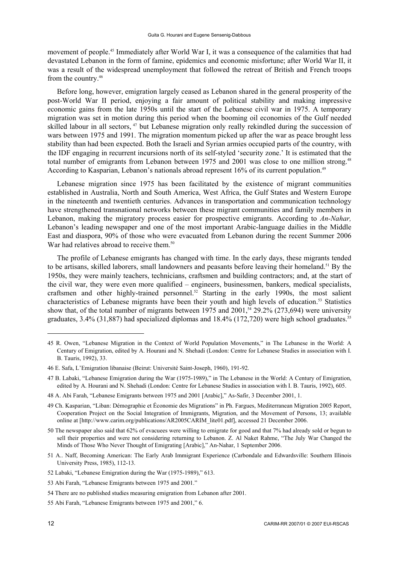movement of people.45 Immediately after World War I, it was a consequence of the calamities that had devastated Lebanon in the form of famine, epidemics and economic misfortune; after World War II, it was a result of the widespread unemployment that followed the retreat of British and French troops from the country.46

Before long, however, emigration largely ceased as Lebanon shared in the general prosperity of the post-World War II period, enjoying a fair amount of political stability and making impressive economic gains from the late 1950s until the start of the Lebanese civil war in 1975. A temporary migration was set in motion during this period when the booming oil economies of the Gulf needed skilled labour in all sectors, <sup>47</sup> but Lebanese migration only really rekindled during the succession of wars between 1975 and 1991. The migration momentum picked up after the war as peace brought less stability than had been expected. Both the Israeli and Syrian armies occupied parts of the country, with the IDF engaging in recurrent incursions north of its self-styled 'security zone.' It is estimated that the total number of emigrants from Lebanon between 1975 and 2001 was close to one million strong.<sup>48</sup> According to Kasparian, Lebanon's nationals abroad represent 16% of its current population.<sup>49</sup>

Lebanese migration since 1975 has been facilitated by the existence of migrant communities established in Australia, North and South America, West Africa, the Gulf States and Western Europe in the nineteenth and twentieth centuries. Advances in transportation and communication technology have strengthened transnational networks between these migrant communities and family members in Lebanon, making the migratory process easier for prospective emigrants. According to *An-Nahar,*  Lebanon's leading newspaper and one of the most important Arabic-language dailies in the Middle East and diaspora, 90% of those who were evacuated from Lebanon during the recent Summer 2006 War had relatives abroad to receive them.<sup>50</sup>

The profile of Lebanese emigrants has changed with time. In the early days, these migrants tended to be artisans, skilled laborers, small landowners and peasants before leaving their homeland.<sup>51</sup> By the 1950s, they were mainly teachers, technicians, craftsmen and building contractors; and, at the start of the civil war, they were even more qualified – engineers, businessmen, bankers, medical specialists, craftsmen and other highly-trained personnel.<sup>52</sup> Starting in the early 1990s, the most salient characteristics of Lebanese migrants have been their youth and high levels of education.<sup>53</sup> Statistics show that, of the total number of migrants between 1975 and  $2001$ ,<sup>54</sup> 29.2% (273,694) were university graduates, 3.4% (31,887) had specialized diplomas and 18.4% (172,720) were high school graduates.<sup>55</sup>

- 51 A.. Naff, Becoming American: The Early Arab Immigrant Experience (Carbondale and Edwardsville: Southern Illinois University Press, 1985), 112-13.
- 52 Labaki, "Lebanese Emigration during the War (1975-1989)," 613.

<sup>45</sup> R. Owen, "Lebanese Migration in the Context of World Population Movements," in The Lebanese in the World: A Century of Emigration, edited by A. Hourani and N. Shehadi (London: Centre for Lebanese Studies in association with I. B. Tauris, 1992), 33.

<sup>46</sup> E. Safa, L'Emigration libanaise (Beirut: Université Saint-Joseph, 1960), 191-92.

<sup>47</sup> B. Labaki, "Lebanese Emigration during the War (1975-1989)," in The Lebanese in the World: A Century of Emigration, edited by A. Hourani and N. Shehadi (London: Centre for Lebanese Studies in association with I. B. Tauris, 1992), 605.

<sup>48</sup> A. Abi Farah, "Lebanese Emigrants between 1975 and 2001 [Arabic]," As-Safir, 3 December 2001, 1.

<sup>49</sup> Ch. Kasparian, "Liban: Démographie et Économie des Migrations" in Ph. Fargues, Mediterranean Migration 2005 Report, Cooperation Project on the Social Integration of Immigrants, Migration, and the Movement of Persons, 13; available online at [http://www.carim.org/publications/AR2005CARIM\_lite01.pdf], accessed 21 December 2006.

<sup>50</sup> The newspaper also said that 62% of evacuees were willing to emigrate for good and that 7% had already sold or begun to sell their properties and were not considering returning to Lebanon. Z. Al Naket Rahme, "The July War Changed the Minds of Those Who Never Thought of Emigrating [Arabic]," An-Nahar, 1 September 2006.

<sup>53</sup> Abi Farah, "Lebanese Emigrants between 1975 and 2001."

<sup>54</sup> There are no published studies measuring emigration from Lebanon after 2001.

<sup>55</sup> Abi Farah, "Lebanese Emigrants between 1975 and 2001," 6.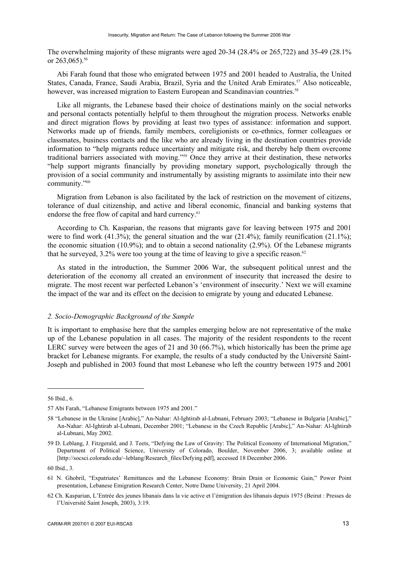The overwhelming majority of these migrants were aged 20-34 (28.4% or 265,722) and 35-49 (28.1% or 263,065).<sup>56</sup>

Abi Farah found that those who emigrated between 1975 and 2001 headed to Australia, the United States, Canada, France, Saudi Arabia, Brazil, Syria and the United Arab Emirates.<sup>57</sup> Also noticeable, however, was increased migration to Eastern European and Scandinavian countries.<sup>58</sup>

Like all migrants, the Lebanese based their choice of destinations mainly on the social networks and personal contacts potentially helpful to them throughout the migration process. Networks enable and direct migration flows by providing at least two types of assistance: information and support. Networks made up of friends, family members, coreligionists or co-ethnics, former colleagues or classmates, business contacts and the like who are already living in the destination countries provide information to "help migrants reduce uncertainty and mitigate risk, and thereby help them overcome traditional barriers associated with moving."59 Once they arrive at their destination, these networks "help support migrants financially by providing monetary support, psychologically through the provision of a social community and instrumentally by assisting migrants to assimilate into their new community."60

Migration from Lebanon is also facilitated by the lack of restriction on the movement of citizens, tolerance of dual citizenship, and active and liberal economic, financial and banking systems that endorse the free flow of capital and hard currency.<sup>61</sup>

According to Ch. Kasparian, the reasons that migrants gave for leaving between 1975 and 2001 were to find work (41.3%); the general situation and the war (21.4%); family reunification (21.1%); the economic situation (10.9%); and to obtain a second nationality (2.9%). Of the Lebanese migrants that he surveyed,  $3.2\%$  were too young at the time of leaving to give a specific reason.<sup>62</sup>

As stated in the introduction, the Summer 2006 War, the subsequent political unrest and the deterioration of the economy all created an environment of insecurity that increased the desire to migrate. The most recent war perfected Lebanon's 'environment of insecurity.' Next we will examine the impact of the war and its effect on the decision to emigrate by young and educated Lebanese.

#### *2. Socio-Demographic Background of the Sample*

It is important to emphasise here that the samples emerging below are not representative of the make up of the Lebanese population in all cases. The majority of the resident respondents to the recent LERC survey were between the ages of 21 and 30 (66.7%), which historically has been the prime age bracket for Lebanese migrants. For example, the results of a study conducted by the Université Saint-Joseph and published in 2003 found that most Lebanese who left the country between 1975 and 2001

<sup>56</sup> Ibid., 6.

<sup>57</sup> Abi Farah, "Lebanese Emigrants between 1975 and 2001."

<sup>58 &</sup>quot;Lebanese in the Ukraine [Arabic]," An-Nahar: Al-Ightirab al-Lubnani, February 2003; "Lebanese in Bulgaria [Arabic]," An-Nahar: Al-Ightirab al-Lubnani, December 2001; "Lebanese in the Czech Republic [Arabic]," An-Nahar: Al-Ightirab al-Lubnani, May 2002.

<sup>59</sup> D. Leblang, J. Fitzgerald, and J. Teets, "Defying the Law of Gravity: The Political Economy of International Migration," Department of Political Science, University of Colorado, Boulder, November 2006, 3; available online at [http://socsci.colorado.edu/~leblang/Research\_files/Defying.pdf], accessed 18 December 2006.

<sup>60</sup> Ibid., 3.

<sup>61</sup> N. Ghobril, "Expatriates' Remittances and the Lebanese Economy: Brain Drain or Economic Gain," Power Point presentation, Lebanese Emigration Research Center, Notre Dame University, 21 April 2004.

<sup>62</sup> Ch. Kasparian, L'Entrée des jeunes libanais dans la vie active et l'émigration des libanais depuis 1975 (Beirut : Presses de l'Université Saint Joseph, 2003), 3:19.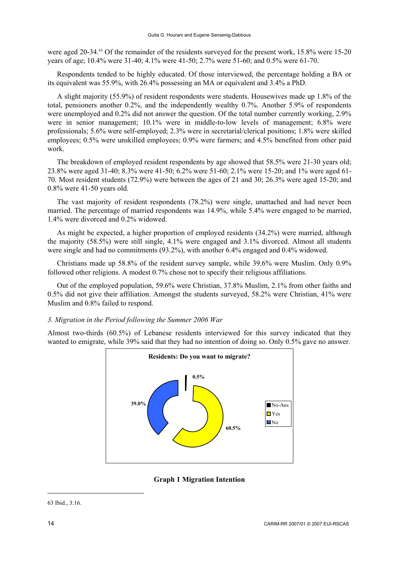were aged 20-34.<sup>63</sup> Of the remainder of the residents surveyed for the present work, 15.8% were 15-20 years of age; 10.4% were 31-40; 4.1% were 41-50; 2.7% were 51-60; and 0.5% were 61-70.

Respondents tended to be highly educated. Of those interviewed, the percentage holding a BA or its equivalent was 55.9%, with 26.4% possessing an MA or equivalent and 3.4% a PhD.

A slight majority (55.9%) of resident respondents were students. Housewives made up 1.8% of the total, pensioners another 0.2%, and the independently wealthy 0.7%. Another 5.9% of respondents were unemployed and 0.2% did not answer the question. Of the total number currently working, 2.9% were in senior management; 10.1% were in middle-to-low levels of management; 6.8% were professionals; 5.6% were self-employed; 2.3% were in secretarial/clerical positions; 1.8% were skilled employees; 0.5% were unskilled employees; 0.9% were farmers; and 4.5% benefited from other paid work.

The breakdown of employed resident respondents by age showed that 58.5% were 21-30 years old; 23.8% were aged 31-40; 8.3% were 41-50; 6.2% were 51-60; 2.1% were 15-20; and 1% were aged 61- 70. Most resident students (72.9%) were between the ages of 21 and 30; 26.3% were aged 15-20; and 0.8% were 41-50 years old.

The vast majority of resident respondents (78.2%) were single, unattached and had never been married. The percentage of married respondents was 14.9%, while 5.4% were engaged to be married, 1.4% were divorced and 0.2% widowed.

As might be expected, a higher proportion of employed residents (34.2%) were married, although the majority (58.5%) were still single, 4.1% were engaged and 3.1% divorced. Almost all students were single and had no commitments (93.2%), with another 6.4% engaged and 0.4% widowed.

Christians made up 58.8% of the resident survey sample, while 39.6% were Muslim. Only 0.9% followed other religions. A modest 0.7% chose not to specify their religious affiliations.

Out of the employed population, 59.6% were Christian, 37.8% Muslim, 2.1% from other faiths and 0.5% did not give their affiliation. Amongst the students surveyed, 58.2% were Christian, 41% were Muslim and 0.8% failed to respond.

### *3. Migration in the Period following the Summer 2006 War*

Almost two-thirds (60.5%) of Lebanese residents interviewed for this survey indicated that they wanted to emigrate, while 39% said that they had no intention of doing so. Only 0.5% gave no answer.



**Graph 1 Migration Intention** 

<sup>63</sup> Ibid., 3:16.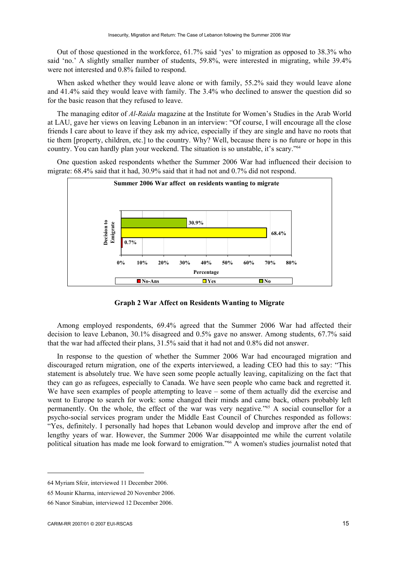Out of those questioned in the workforce, 61.7% said 'yes' to migration as opposed to 38.3% who said 'no.' A slightly smaller number of students, 59.8%, were interested in migrating, while 39.4% were not interested and 0.8% failed to respond.

When asked whether they would leave alone or with family, 55.2% said they would leave alone and 41.4% said they would leave with family. The 3.4% who declined to answer the question did so for the basic reason that they refused to leave.

The managing editor of *Al-Raida* magazine at the Institute for Women's Studies in the Arab World at LAU, gave her views on leaving Lebanon in an interview: "Of course, I will encourage all the close friends I care about to leave if they ask my advice, especially if they are single and have no roots that tie them [property, children, etc.] to the country. Why? Well, because there is no future or hope in this country. You can hardly plan your weekend. The situation is so unstable, it's scary."64

One question asked respondents whether the Summer 2006 War had influenced their decision to migrate: 68.4% said that it had, 30.9% said that it had not and 0.7% did not respond.



**Graph 2 War Affect on Residents Wanting to Migrate** 

Among employed respondents, 69.4% agreed that the Summer 2006 War had affected their decision to leave Lebanon, 30.1% disagreed and 0.5% gave no answer. Among students, 67.7% said that the war had affected their plans, 31.5% said that it had not and 0.8% did not answer.

In response to the question of whether the Summer 2006 War had encouraged migration and discouraged return migration, one of the experts interviewed, a leading CEO had this to say: "This statement is absolutely true. We have seen some people actually leaving, capitalizing on the fact that they can go as refugees, especially to Canada. We have seen people who came back and regretted it. We have seen examples of people attempting to leave – some of them actually did the exercise and went to Europe to search for work: some changed their minds and came back, others probably left permanently. On the whole, the effect of the war was very negative*.*"65 A social counsellor for a psycho-social services program under the Middle East Council of Churches responded as follows: "Yes, definitely. I personally had hopes that Lebanon would develop and improve after the end of lengthy years of war. However, the Summer 2006 War disappointed me while the current volatile political situation has made me look forward to emigration."66 A women's studies journalist noted that

<sup>64</sup> Myriam Sfeir, interviewed 11 December 2006.

<sup>65</sup> Mounir Kharma, interviewed 20 November 2006.

<sup>66</sup> Nanor Sinabian, interviewed 12 December 2006.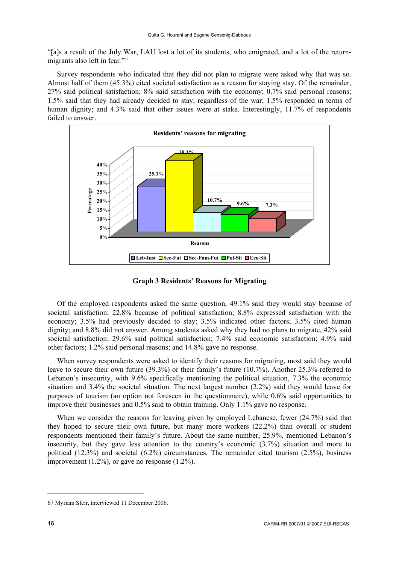"[a]s a result of the July War, LAU lost a lot of its students, who emigrated, and a lot of the returnmigrants also left in fear*.*"67

Survey respondents who indicated that they did not plan to migrate were asked why that was so. Almost half of them (45.3%) cited societal satisfaction as a reason for staying stay. Of the remainder, 27% said political satisfaction; 8% said satisfaction with the economy; 0.7% said personal reasons; 1.5% said that they had already decided to stay, regardless of the war; 1.5% responded in terms of human dignity; and 4.3% said that other issues were at stake. Interestingly, 11.7% of respondents failed to answer.



**Graph 3 Residents' Reasons for Migrating** 

Of the employed respondents asked the same question, 49.1% said they would stay because of societal satisfaction; 22.8% because of political satisfaction; 8.8% expressed satisfaction with the economy; 3.5% had previously decided to stay; 3.5% indicated other factors; 3.5% cited human dignity; and 8.8% did not answer. Among students asked why they had no plans to migrate, 42% said societal satisfaction; 29.6% said political satisfaction; 7.4% said economic satisfaction; 4.9% said other factors; 1.2% said personal reasons; and 14.8% gave no response.

When survey respondents were asked to identify their reasons for migrating, most said they would leave to secure their own future (39.3%) or their family's future (10.7%). Another 25.3% referred to Lebanon's insecurity, with 9.6% specifically mentioning the political situation, 7.3% the economic situation and 3.4% the societal situation. The next largest number (2.2%) said they would leave for purposes of tourism (an option not foreseen in the questionnaire), while 0.6% said opportunities to improve their businesses and 0.5% said to obtain training. Only 1.1% gave no response.

When we consider the reasons for leaving given by employed Lebanese, fewer (24.7%) said that they hoped to secure their own future, but many more workers (22.2%) than overall or student respondents mentioned their family's future. About the same number, 25.9%, mentioned Lebanon's insecurity, but they gave less attention to the country's economic (3.7%) situation and more to political  $(12.3%)$  and societal  $(6.2%)$  circumstances. The remainder cited tourism  $(2.5%)$ , business improvement  $(1.2\%)$ , or gave no response  $(1.2\%)$ .

<sup>67</sup> Myriam Sfeir, interviewed 11 December 2006.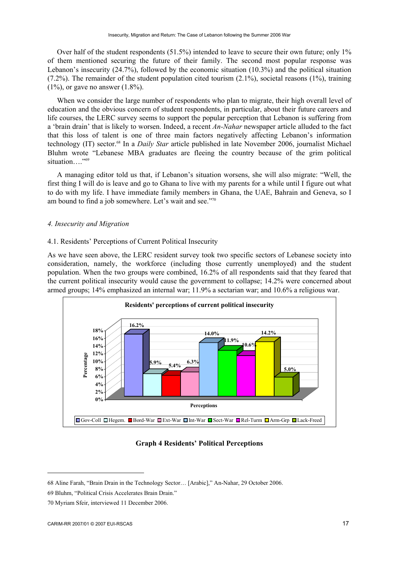Over half of the student respondents (51.5%) intended to leave to secure their own future; only 1% of them mentioned securing the future of their family. The second most popular response was Lebanon's insecurity (24.7%), followed by the economic situation (10.3%) and the political situation  $(7.2\%)$ . The remainder of the student population cited tourism  $(2.1\%)$ , societal reasons  $(1\%)$ , training  $(1\%)$ , or gave no answer  $(1.8\%)$ .

When we consider the large number of respondents who plan to migrate, their high overall level of education and the obvious concern of student respondents, in particular, about their future careers and life courses, the LERC survey seems to support the popular perception that Lebanon is suffering from a 'brain drain' that is likely to worsen. Indeed, a recent *An-Nahar* newspaper article alluded to the fact that this loss of talent is one of three main factors negatively affecting Lebanon's information technology (IT) sector.68 In a *Daily Star* article published in late November 2006, journalist Michael Bluhm wrote "Lebanese MBA graduates are fleeing the country because of the grim political situation…."<sup>69</sup>

A managing editor told us that, if Lebanon's situation worsens, she will also migrate: "Well, the first thing I will do is leave and go to Ghana to live with my parents for a while until I figure out what to do with my life. I have immediate family members in Ghana, the UAE, Bahrain and Geneva, so I am bound to find a job somewhere. Let's wait and see."70

### *4. Insecurity and Migration*

### 4.1. Residents' Perceptions of Current Political Insecurity

As we have seen above, the LERC resident survey took two specific sectors of Lebanese society into consideration, namely, the workforce (including those currently unemployed) and the student population. When the two groups were combined, 16.2% of all respondents said that they feared that the current political insecurity would cause the government to collapse; 14.2% were concerned about armed groups; 14% emphasized an internal war; 11.9% a sectarian war; and 10.6% a religious war.



### **Graph 4 Residents' Political Perceptions**

<sup>68</sup> Aline Farah, "Brain Drain in the Technology Sector… [Arabic]," An-Nahar, 29 October 2006.

<sup>69</sup> Bluhm, "Political Crisis Accelerates Brain Drain."

<sup>70</sup> Myriam Sfeir, interviewed 11 December 2006.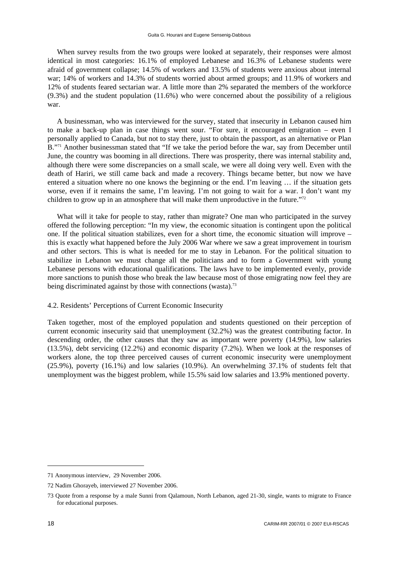When survey results from the two groups were looked at separately, their responses were almost identical in most categories: 16.1% of employed Lebanese and 16.3% of Lebanese students were afraid of government collapse; 14.5% of workers and 13.5% of students were anxious about internal war; 14% of workers and 14.3% of students worried about armed groups; and 11.9% of workers and 12% of students feared sectarian war. A little more than 2% separated the members of the workforce (9.3%) and the student population (11.6%) who were concerned about the possibility of a religious war.

A businessman, who was interviewed for the survey, stated that insecurity in Lebanon caused him to make a back-up plan in case things went sour. "For sure, it encouraged emigration – even I personally applied to Canada, but not to stay there, just to obtain the passport, as an alternative or Plan B."<sup>71</sup> Another businessman stated that "If we take the period before the war, say from December until June, the country was booming in all directions. There was prosperity, there was internal stability and, although there were some discrepancies on a small scale, we were all doing very well. Even with the death of Hariri, we still came back and made a recovery. Things became better, but now we have entered a situation where no one knows the beginning or the end. I'm leaving … if the situation gets worse, even if it remains the same, I'm leaving. I'm not going to wait for a war. I don't want my children to grow up in an atmosphere that will make them unproductive in the future."<sup>72</sup>

What will it take for people to stay, rather than migrate? One man who participated in the survey offered the following perception: "In my view, the economic situation is contingent upon the political one. If the political situation stabilizes, even for a short time, the economic situation will improve – this is exactly what happened before the July 2006 War where we saw a great improvement in tourism and other sectors. This is what is needed for me to stay in Lebanon. For the political situation to stabilize in Lebanon we must change all the politicians and to form a Government with young Lebanese persons with educational qualifications. The laws have to be implemented evenly, provide more sanctions to punish those who break the law because most of those emigrating now feel they are being discriminated against by those with connections (wasta).<sup>73</sup>

## 4.2. Residents' Perceptions of Current Economic Insecurity

Taken together, most of the employed population and students questioned on their perception of current economic insecurity said that unemployment (32.2%) was the greatest contributing factor. In descending order, the other causes that they saw as important were poverty (14.9%), low salaries (13.5%), debt servicing (12.2%) and economic disparity (7.2%). When we look at the responses of workers alone, the top three perceived causes of current economic insecurity were unemployment (25.9%), poverty (16.1%) and low salaries (10.9%). An overwhelming 37.1% of students felt that unemployment was the biggest problem, while 15.5% said low salaries and 13.9% mentioned poverty.

<sup>71</sup> Anonymous interview, 29 November 2006.

<sup>72</sup> Nadim Ghorayeb, interviewed 27 November 2006.

<sup>73</sup> Quote from a response by a male Sunni from Qalamoun, North Lebanon, aged 21-30, single, wants to migrate to France for educational purposes.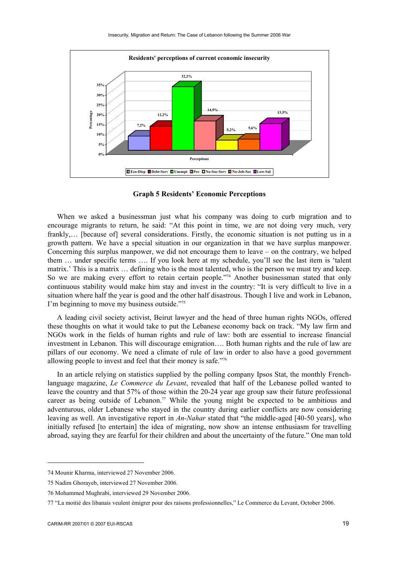

**Graph 5 Residents' Economic Perceptions** 

When we asked a businessman just what his company was doing to curb migration and to encourage migrants to return, he said: "At this point in time, we are not doing very much, very frankly,… [because of] several considerations. Firstly, the economic situation is not putting us in a growth pattern. We have a special situation in our organization in that we have surplus manpower. Concerning this surplus manpower, we did not encourage them to leave – on the contrary, we helped them … under specific terms …. If you look here at my schedule, you'll see the last item is 'talent matrix.' This is a matrix … defining who is the most talented, who is the person we must try and keep. So we are making every effort to retain certain people."<sup>74</sup> Another businessman stated that only continuous stability would make him stay and invest in the country: "It is very difficult to live in a situation where half the year is good and the other half disastrous. Though I live and work in Lebanon, I'm beginning to move my business outside."75

A leading civil society activist, Beirut lawyer and the head of three human rights NGOs, offered these thoughts on what it would take to put the Lebanese economy back on track. "My law firm and NGOs work in the fields of human rights and rule of law: both are essential to increase financial investment in Lebanon. This will discourage emigration…. Both human rights and the rule of law are pillars of our economy. We need a climate of rule of law in order to also have a good government allowing people to invest and feel that their money is safe."76

In an article relying on statistics supplied by the polling company Ipsos Stat, the monthly Frenchlanguage magazine, *Le Commerce du Levant*, revealed that half of the Lebanese polled wanted to leave the country and that 57% of those within the 20-24 year age group saw their future professional career as being outside of Lebanon.<sup>77</sup> While the young might be expected to be ambitious and adventurous, older Lebanese who stayed in the country during earlier conflicts are now considering leaving as well. An investigative report in *An-Nahar* stated that "the middle-aged [40-50 years], who initially refused [to entertain] the idea of migrating, now show an intense enthusiasm for travelling abroad, saying they are fearful for their children and about the uncertainty of the future." One man told

<sup>74</sup> Mounir Kharma, interviewed 27 November 2006.

<sup>75</sup> Nadim Ghorayeb, interviewed 27 November 2006.

<sup>76</sup> Mohammed Mughrabi, interviewed 29 November 2006.

<sup>77 &</sup>quot;La moitié des libanais veulent émigrer pour des raisons professionnelles," Le Commerce du Levant, October 2006.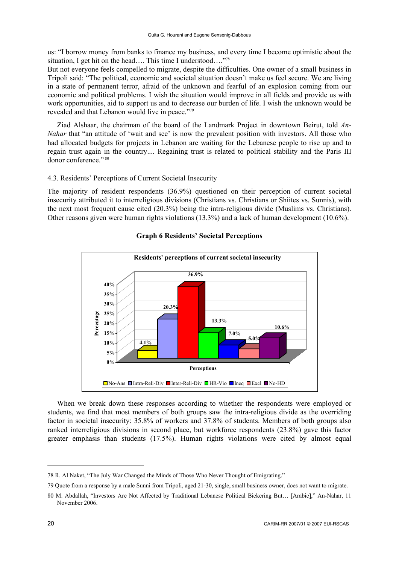us: "I borrow money from banks to finance my business, and every time I become optimistic about the situation, I get hit on the head…. This time I understood…."78

But not everyone feels compelled to migrate, despite the difficulties. One owner of a small business in Tripoli said: "The political, economic and societal situation doesn't make us feel secure. We are living in a state of permanent terror, afraid of the unknown and fearful of an explosion coming from our economic and political problems. I wish the situation would improve in all fields and provide us with work opportunities, aid to support us and to decrease our burden of life. I wish the unknown would be revealed and that Lebanon would live in peace."79

Ziad Alshaar, the chairman of the board of the Landmark Project in downtown Beirut, told *An-Nahar* that "an attitude of 'wait and see' is now the prevalent position with investors. All those who had allocated budgets for projects in Lebanon are waiting for the Lebanese people to rise up and to regain trust again in the country.... Regaining trust is related to political stability and the Paris III donor conference." 80

# 4.3. Residents' Perceptions of Current Societal Insecurity

The majority of resident respondents (36.9%) questioned on their perception of current societal insecurity attributed it to interreligious divisions (Christians vs. Christians or Shiites vs. Sunnis), with the next most frequent cause cited (20.3%) being the intra-religious divide (Muslims vs. Christians). Other reasons given were human rights violations (13.3%) and a lack of human development (10.6%).



# **Graph 6 Residents' Societal Perceptions**

When we break down these responses according to whether the respondents were employed or students, we find that most members of both groups saw the intra-religious divide as the overriding factor in societal insecurity: 35.8% of workers and 37.8% of students. Members of both groups also ranked interreligious divisions in second place, but workforce respondents (23.8%) gave this factor greater emphasis than students (17.5%). Human rights violations were cited by almost equal

<sup>78</sup> R. Al Naket, "The July War Changed the Minds of Those Who Never Thought of Emigrating."

<sup>79</sup> Quote from a response by a male Sunni from Tripoli, aged 21-30, single, small business owner, does not want to migrate.

<sup>80</sup> M. Abdallah, "Investors Are Not Affected by Traditional Lebanese Political Bickering But… [Arabic]," An-Nahar, 11 November 2006.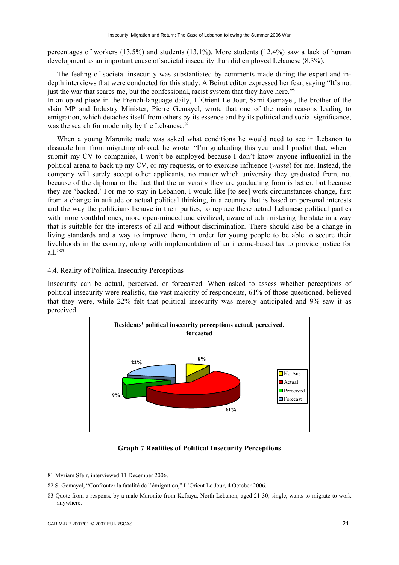percentages of workers (13.5%) and students (13.1%). More students (12.4%) saw a lack of human development as an important cause of societal insecurity than did employed Lebanese (8.3%).

The feeling of societal insecurity was substantiated by comments made during the expert and indepth interviews that were conducted for this study. A Beirut editor expressed her fear, saying "It's not just the war that scares me, but the confessional, racist system that they have here."<sup>81</sup>

In an op-ed piece in the French-language daily, L'Orient Le Jour, Sami Gemayel, the brother of the slain MP and Industry Minister, Pierre Gemayel, wrote that one of the main reasons leading to emigration, which detaches itself from others by its essence and by its political and social significance, was the search for modernity by the Lebanese.<sup>82</sup>

When a young Maronite male was asked what conditions he would need to see in Lebanon to dissuade him from migrating abroad, he wrote: "I'm graduating this year and I predict that, when I submit my CV to companies, I won't be employed because I don't know anyone influential in the political arena to back up my CV, or my requests, or to exercise influence (*wasta*) for me. Instead, the company will surely accept other applicants, no matter which university they graduated from, not because of the diploma or the fact that the university they are graduating from is better, but because they are 'backed.' For me to stay in Lebanon, I would like [to see] work circumstances change, first from a change in attitude or actual political thinking, in a country that is based on personal interests and the way the politicians behave in their parties, to replace these actual Lebanese political parties with more youthful ones, more open-minded and civilized, aware of administering the state in a way that is suitable for the interests of all and without discrimination. There should also be a change in living standards and a way to improve them, in order for young people to be able to secure their livelihoods in the country, along with implementation of an income-based tax to provide justice for all."83

## 4.4. Reality of Political Insecurity Perceptions

Insecurity can be actual, perceived, or forecasted. When asked to assess whether perceptions of political insecurity were realistic, the vast majority of respondents, 61% of those questioned, believed that they were, while 22% felt that political insecurity was merely anticipated and 9% saw it as perceived.



### **Graph 7 Realities of Political Insecurity Perceptions**

<sup>81</sup> Myriam Sfeir, interviewed 11 December 2006.

<sup>82</sup> S. Gemayel, "Confronter la fatalité de l'émigration," L'Orient Le Jour, 4 October 2006.

<sup>83</sup> Quote from a response by a male Maronite from Kefraya, North Lebanon, aged 21-30, single, wants to migrate to work anywhere.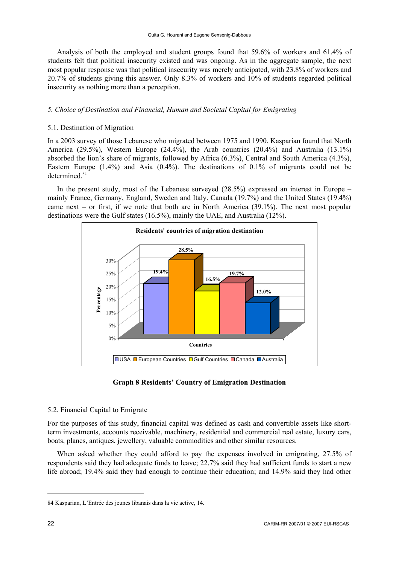Analysis of both the employed and student groups found that 59.6% of workers and 61.4% of students felt that political insecurity existed and was ongoing. As in the aggregate sample, the next most popular response was that political insecurity was merely anticipated, with 23.8% of workers and 20.7% of students giving this answer. Only 8.3% of workers and 10% of students regarded political insecurity as nothing more than a perception.

# *5. Choice of Destination and Financial, Human and Societal Capital for Emigrating*

# 5.1. Destination of Migration

In a 2003 survey of those Lebanese who migrated between 1975 and 1990, Kasparian found that North America (29.5%), Western Europe (24.4%), the Arab countries (20.4%) and Australia (13.1%) absorbed the lion's share of migrants, followed by Africa (6.3%), Central and South America (4.3%), Eastern Europe (1.4%) and Asia (0.4%). The destinations of 0.1% of migrants could not be determined.<sup>84</sup>

In the present study, most of the Lebanese surveyed  $(28.5%)$  expressed an interest in Europe – mainly France, Germany, England, Sweden and Italy. Canada (19.7%) and the United States (19.4%) came next – or first, if we note that both are in North America (39.1%). The next most popular destinations were the Gulf states (16.5%), mainly the UAE, and Australia (12%).



## **Graph 8 Residents' Country of Emigration Destination**

## 5.2. Financial Capital to Emigrate

For the purposes of this study, financial capital was defined as cash and convertible assets like shortterm investments, accounts receivable, machinery, residential and commercial real estate, luxury cars, boats, planes, antiques, jewellery, valuable commodities and other similar resources.

When asked whether they could afford to pay the expenses involved in emigrating, 27.5% of respondents said they had adequate funds to leave; 22.7% said they had sufficient funds to start a new life abroad; 19.4% said they had enough to continue their education; and 14.9% said they had other

<sup>84</sup> Kasparian, L'Entrée des jeunes libanais dans la vie active, 14.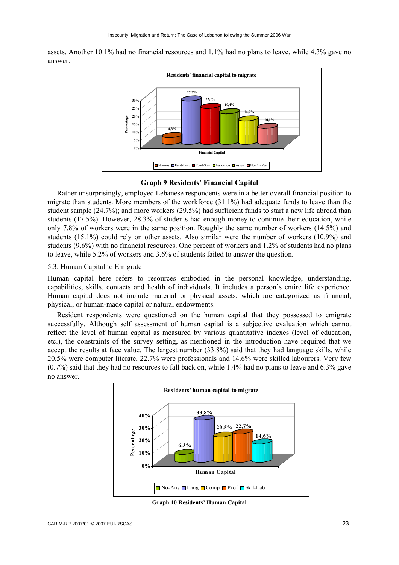assets. Another 10.1% had no financial resources and 1.1% had no plans to leave, while 4.3% gave no answer.



### **Graph 9 Residents' Financial Capital**

Rather unsurprisingly, employed Lebanese respondents were in a better overall financial position to migrate than students. More members of the workforce (31.1%) had adequate funds to leave than the student sample (24.7%); and more workers (29.5%) had sufficient funds to start a new life abroad than students (17.5%). However, 28.3% of students had enough money to continue their education, while only 7.8% of workers were in the same position. Roughly the same number of workers (14.5%) and students (15.1%) could rely on other assets. Also similar were the number of workers (10.9%) and students (9.6%) with no financial resources. One percent of workers and 1.2% of students had no plans to leave, while 5.2% of workers and 3.6% of students failed to answer the question.

#### 5.3. Human Capital to Emigrate

Human capital here refers to resources embodied in the personal knowledge, understanding, capabilities, skills, contacts and health of individuals. It includes a person's entire life experience. Human capital does not include material or physical assets, which are categorized as financial, physical, or human-made capital or natural endowments.

Resident respondents were questioned on the human capital that they possessed to emigrate successfully. Although self assessment of human capital is a subjective evaluation which cannot reflect the level of human capital as measured by various quantitative indexes (level of education, etc.), the constraints of the survey setting, as mentioned in the introduction have required that we accept the results at face value. The largest number (33.8%) said that they had language skills, while 20.5% were computer literate, 22.7% were professionals and 14.6% were skilled labourers. Very few (0.7%) said that they had no resources to fall back on, while 1.4% had no plans to leave and 6.3% gave no answer.



**Graph 10 Residents' Human Capital**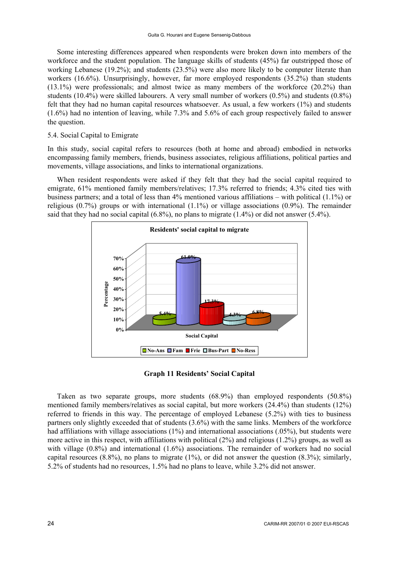Some interesting differences appeared when respondents were broken down into members of the workforce and the student population. The language skills of students (45%) far outstripped those of working Lebanese (19.2%); and students (23.5%) were also more likely to be computer literate than workers (16.6%). Unsurprisingly, however, far more employed respondents (35.2%) than students (13.1%) were professionals; and almost twice as many members of the workforce (20.2%) than students (10.4%) were skilled labourers. A very small number of workers (0.5%) and students (0.8%) felt that they had no human capital resources whatsoever. As usual, a few workers (1%) and students (1.6%) had no intention of leaving, while 7.3% and 5.6% of each group respectively failed to answer the question.

### 5.4. Social Capital to Emigrate

In this study, social capital refers to resources (both at home and abroad) embodied in networks encompassing family members, friends, business associates, religious affiliations, political parties and movements, village associations, and links to international organizations.

When resident respondents were asked if they felt that they had the social capital required to emigrate, 61% mentioned family members/relatives; 17.3% referred to friends; 4.3% cited ties with business partners; and a total of less than 4% mentioned various affiliations – with political (1.1%) or religious (0.7%) groups or with international (1.1%) or village associations (0.9%). The remainder said that they had no social capital  $(6.8\%)$ , no plans to migrate  $(1.4\%)$  or did not answer  $(5.4\%)$ .



**Graph 11 Residents' Social Capital** 

Taken as two separate groups, more students (68.9%) than employed respondents (50.8%) mentioned family members/relatives as social capital, but more workers (24.4%) than students (12%) referred to friends in this way. The percentage of employed Lebanese (5.2%) with ties to business partners only slightly exceeded that of students (3.6%) with the same links. Members of the workforce had affiliations with village associations (1%) and international associations (.05%), but students were more active in this respect, with affiliations with political (2%) and religious (1.2%) groups, as well as with village (0.8%) and international (1.6%) associations. The remainder of workers had no social capital resources  $(8.8\%)$ , no plans to migrate  $(1\%)$ , or did not answer the question  $(8.3\%)$ ; similarly, 5.2% of students had no resources, 1.5% had no plans to leave, while 3.2% did not answer.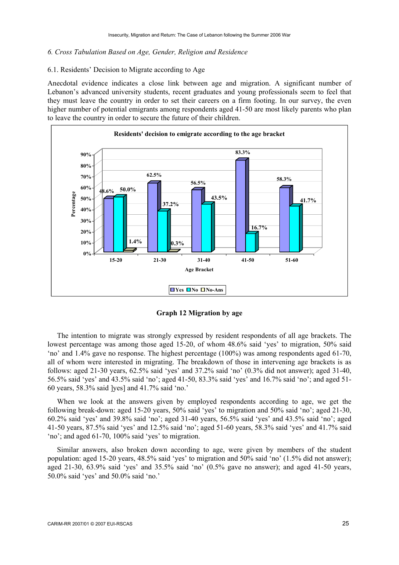#### *6. Cross Tabulation Based on Age, Gender, Religion and Residence*

## 6.1. Residents' Decision to Migrate according to Age

Anecdotal evidence indicates a close link between age and migration. A significant number of Lebanon's advanced university students, recent graduates and young professionals seem to feel that they must leave the country in order to set their careers on a firm footing. In our survey, the even higher number of potential emigrants among respondents aged 41-50 are most likely parents who plan to leave the country in order to secure the future of their children.



**Graph 12 Migration by age** 

The intention to migrate was strongly expressed by resident respondents of all age brackets. The lowest percentage was among those aged 15-20, of whom 48.6% said 'yes' to migration, 50% said 'no' and 1.4% gave no response. The highest percentage (100%) was among respondents aged 61-70, all of whom were interested in migrating. The breakdown of those in intervening age brackets is as follows: aged 21-30 years, 62.5% said 'yes' and 37.2% said 'no' (0.3% did not answer); aged 31-40, 56.5% said 'yes' and 43.5% said 'no'; aged 41-50, 83.3% said 'yes' and 16.7% said 'no'; and aged 51- 60 years, 58.3% said ]yes] and 41.7% said 'no.'

When we look at the answers given by employed respondents according to age, we get the following break-down: aged 15-20 years, 50% said 'yes' to migration and 50% said 'no'; aged 21-30, 60.2% said 'yes' and 39.8% said 'no'; aged 31-40 years, 56.5% said 'yes' and 43.5% said 'no'; aged 41-50 years, 87.5% said 'yes' and 12.5% said 'no'; aged 51-60 years, 58.3% said 'yes' and 41.7% said 'no'; and aged 61-70, 100% said 'yes' to migration.

Similar answers, also broken down according to age, were given by members of the student population: aged 15-20 years, 48.5% said 'yes' to migration and 50% said 'no' (1.5% did not answer); aged 21-30, 63.9% said 'yes' and 35.5% said 'no' (0.5% gave no answer); and aged 41-50 years, 50.0% said 'yes' and 50.0% said 'no.'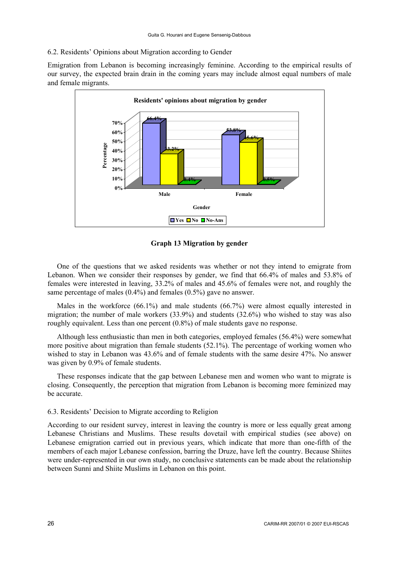### 6.2. Residents' Opinions about Migration according to Gender

Emigration from Lebanon is becoming increasingly feminine. According to the empirical results of our survey, the expected brain drain in the coming years may include almost equal numbers of male and female migrants.



**Graph 13 Migration by gender** 

One of the questions that we asked residents was whether or not they intend to emigrate from Lebanon. When we consider their responses by gender, we find that 66.4% of males and 53.8% of females were interested in leaving, 33.2% of males and 45.6% of females were not, and roughly the same percentage of males (0.4%) and females (0.5%) gave no answer.

Males in the workforce (66.1%) and male students (66.7%) were almost equally interested in migration; the number of male workers (33.9%) and students (32.6%) who wished to stay was also roughly equivalent. Less than one percent (0.8%) of male students gave no response.

Although less enthusiastic than men in both categories, employed females (56.4%) were somewhat more positive about migration than female students (52.1%). The percentage of working women who wished to stay in Lebanon was 43.6% and of female students with the same desire 47%. No answer was given by 0.9% of female students.

These responses indicate that the gap between Lebanese men and women who want to migrate is closing. Consequently, the perception that migration from Lebanon is becoming more feminized may be accurate.

### 6.3. Residents' Decision to Migrate according to Religion

According to our resident survey, interest in leaving the country is more or less equally great among Lebanese Christians and Muslims. These results dovetail with empirical studies (see above) on Lebanese emigration carried out in previous years, which indicate that more than one-fifth of the members of each major Lebanese confession, barring the Druze, have left the country. Because Shiites were under-represented in our own study, no conclusive statements can be made about the relationship between Sunni and Shiite Muslims in Lebanon on this point.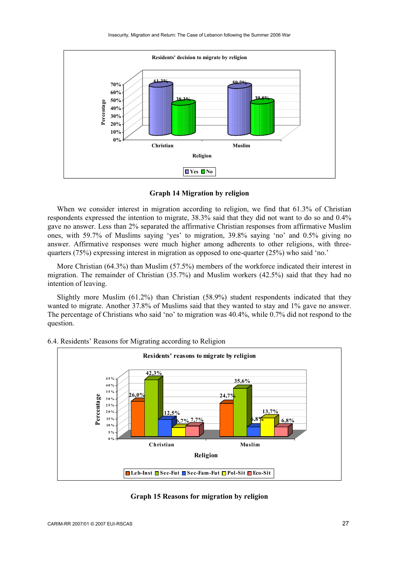

#### **Graph 14 Migration by religion**

When we consider interest in migration according to religion, we find that 61.3% of Christian respondents expressed the intention to migrate, 38.3% said that they did not want to do so and 0.4% gave no answer. Less than 2% separated the affirmative Christian responses from affirmative Muslim ones, with 59.7% of Muslims saying 'yes' to migration, 39.8% saying 'no' and 0.5% giving no answer. Affirmative responses were much higher among adherents to other religions, with threequarters (75%) expressing interest in migration as opposed to one-quarter (25%) who said 'no.'

More Christian (64.3%) than Muslim (57.5%) members of the workforce indicated their interest in migration. The remainder of Christian (35.7%) and Muslim workers (42.5%) said that they had no intention of leaving.

Slightly more Muslim (61.2%) than Christian (58.9%) student respondents indicated that they wanted to migrate. Another 37.8% of Muslims said that they wanted to stay and 1% gave no answer. The percentage of Christians who said 'no' to migration was 40.4%, while 0.7% did not respond to the question.



#### 6.4. Residents' Reasons for Migrating according to Religion

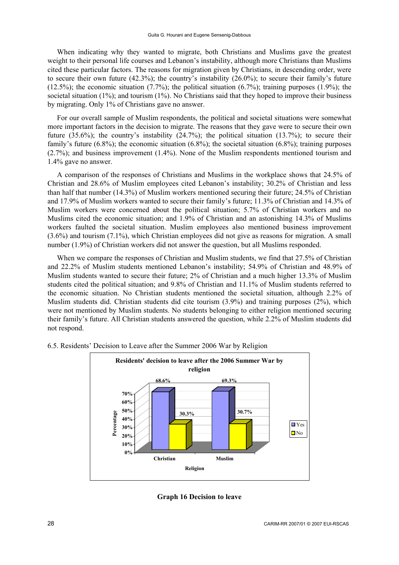When indicating why they wanted to migrate, both Christians and Muslims gave the greatest weight to their personal life courses and Lebanon's instability, although more Christians than Muslims cited these particular factors. The reasons for migration given by Christians, in descending order, were to secure their own future (42.3%); the country's instability (26.0%); to secure their family's future  $(12.5\%)$ ; the economic situation  $(7.7\%)$ ; the political situation  $(6.7\%)$ ; training purposes  $(1.9\%)$ ; the societal situation (1%); and tourism (1%). No Christians said that they hoped to improve their business by migrating. Only 1% of Christians gave no answer.

For our overall sample of Muslim respondents, the political and societal situations were somewhat more important factors in the decision to migrate. The reasons that they gave were to secure their own future (35.6%); the country's instability (24.7%); the political situation (13.7%); to secure their family's future (6.8%); the economic situation (6.8%); the societal situation (6.8%); training purposes (2.7%); and business improvement (1.4%). None of the Muslim respondents mentioned tourism and 1.4% gave no answer.

A comparison of the responses of Christians and Muslims in the workplace shows that 24.5% of Christian and 28.6% of Muslim employees cited Lebanon's instability; 30.2% of Christian and less than half that number (14.3%) of Muslim workers mentioned securing their future; 24.5% of Christian and 17.9% of Muslim workers wanted to secure their family's future; 11.3% of Christian and 14.3% of Muslim workers were concerned about the political situation; 5.7% of Christian workers and no Muslims cited the economic situation; and 1.9% of Christian and an astonishing 14.3% of Muslims workers faulted the societal situation. Muslim employees also mentioned business improvement (3.6%) and tourism (7.1%), which Christian employees did not give as reasons for migration. A small number (1.9%) of Christian workers did not answer the question, but all Muslims responded.

When we compare the responses of Christian and Muslim students, we find that 27.5% of Christian and 22.2% of Muslim students mentioned Lebanon's instability; 54.9% of Christian and 48.9% of Muslim students wanted to secure their future; 2% of Christian and a much higher 13.3% of Muslim students cited the political situation; and 9.8% of Christian and 11.1% of Muslim students referred to the economic situation. No Christian students mentioned the societal situation, although 2.2% of Muslim students did. Christian students did cite tourism (3.9%) and training purposes (2%), which were not mentioned by Muslim students. No students belonging to either religion mentioned securing their family's future. All Christian students answered the question, while 2.2% of Muslim students did not respond.



6.5. Residents' Decision to Leave after the Summer 2006 War by Religion

**Graph 16 Decision to leave**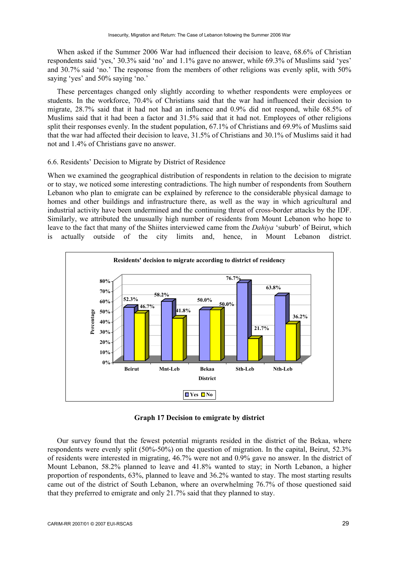When asked if the Summer 2006 War had influenced their decision to leave, 68.6% of Christian respondents said 'yes,' 30.3% said 'no' and 1.1% gave no answer, while 69.3% of Muslims said 'yes' and 30.7% said 'no.' The response from the members of other religions was evenly split, with 50% saying 'yes' and 50% saying 'no.'

These percentages changed only slightly according to whether respondents were employees or students. In the workforce, 70.4% of Christians said that the war had influenced their decision to migrate, 28.7% said that it had not had an influence and 0.9% did not respond, while 68.5% of Muslims said that it had been a factor and 31.5% said that it had not. Employees of other religions split their responses evenly. In the student population, 67.1% of Christians and 69.9% of Muslims said that the war had affected their decision to leave, 31.5% of Christians and 30.1% of Muslims said it had not and 1.4% of Christians gave no answer.

#### 6.6. Residents' Decision to Migrate by District of Residence

When we examined the geographical distribution of respondents in relation to the decision to migrate or to stay, we noticed some interesting contradictions. The high number of respondents from Southern Lebanon who plan to emigrate can be explained by reference to the considerable physical damage to homes and other buildings and infrastructure there, as well as the way in which agricultural and industrial activity have been undermined and the continuing threat of cross-border attacks by the IDF. Similarly, we attributed the unusually high number of residents from Mount Lebanon who hope to leave to the fact that many of the Shiites interviewed came from the *Dahiya* 'suburb' of Beirut, which is actually outside of the city limits and, hence, in Mount Lebanon district.



**Graph 17 Decision to emigrate by district** 

Our survey found that the fewest potential migrants resided in the district of the Bekaa, where respondents were evenly split (50%-50%) on the question of migration. In the capital, Beirut, 52.3% of residents were interested in migrating, 46.7% were not and 0.9% gave no answer. In the district of Mount Lebanon, 58.2% planned to leave and 41.8% wanted to stay; in North Lebanon, a higher proportion of respondents, 63%, planned to leave and 36.2% wanted to stay. The most starting results came out of the district of South Lebanon, where an overwhelming 76.7% of those questioned said that they preferred to emigrate and only 21.7% said that they planned to stay.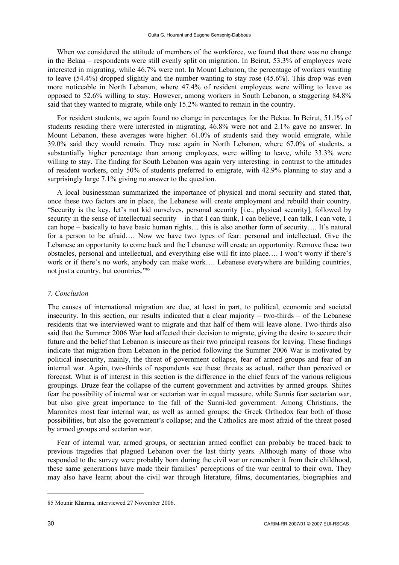When we considered the attitude of members of the workforce, we found that there was no change in the Bekaa – respondents were still evenly split on migration. In Beirut, 53.3% of employees were interested in migrating, while 46.7% were not. In Mount Lebanon, the percentage of workers wanting to leave (54.4%) dropped slightly and the number wanting to stay rose (45.6%). This drop was even more noticeable in North Lebanon, where 47.4% of resident employees were willing to leave as opposed to 52.6% willing to stay. However, among workers in South Lebanon, a staggering 84.8% said that they wanted to migrate, while only 15.2% wanted to remain in the country.

For resident students, we again found no change in percentages for the Bekaa. In Beirut, 51.1% of students residing there were interested in migrating, 46.8% were not and 2.1% gave no answer. In Mount Lebanon, these averages were higher: 61.0% of students said they would emigrate, while 39.0% said they would remain. They rose again in North Lebanon, where 67.0% of students, a substantially higher percentage than among employees, were willing to leave, while 33.3% were willing to stay. The finding for South Lebanon was again very interesting: in contrast to the attitudes of resident workers, only 50% of students preferred to emigrate, with 42.9% planning to stay and a surprisingly large 7.1% giving no answer to the question.

A local businessman summarized the importance of physical and moral security and stated that, once these two factors are in place, the Lebanese will create employment and rebuild their country. "Security is the key, let's not kid ourselves, personal security [i.e., physical security], followed by security in the sense of intellectual security – in that I can think, I can believe, I can talk, I can vote, I can hope – basically to have basic human rights… this is also another form of security…. It's natural for a person to be afraid…. Now we have two types of fear: personal and intellectual. Give the Lebanese an opportunity to come back and the Lebanese will create an opportunity. Remove these two obstacles, personal and intellectual, and everything else will fit into place…. I won't worry if there's work or if there's no work, anybody can make work…. Lebanese everywhere are building countries, not just a country, but countries."85

### *7. Conclusion*

The causes of international migration are due, at least in part, to political, economic and societal insecurity. In this section, our results indicated that a clear majority – two-thirds – of the Lebanese residents that we interviewed want to migrate and that half of them will leave alone. Two-thirds also said that the Summer 2006 War had affected their decision to migrate, giving the desire to secure their future and the belief that Lebanon is insecure as their two principal reasons for leaving. These findings indicate that migration from Lebanon in the period following the Summer 2006 War is motivated by political insecurity, mainly, the threat of government collapse, fear of armed groups and fear of an internal war. Again, two-thirds of respondents see these threats as actual, rather than perceived or forecast. What is of interest in this section is the difference in the chief fears of the various religious groupings. Druze fear the collapse of the current government and activities by armed groups. Shiites fear the possibility of internal war or sectarian war in equal measure, while Sunnis fear sectarian war, but also give great importance to the fall of the Sunni-led government. Among Christians, the Maronites most fear internal war, as well as armed groups; the Greek Orthodox fear both of those possibilities, but also the government's collapse; and the Catholics are most afraid of the threat posed by armed groups and sectarian war.

Fear of internal war, armed groups, or sectarian armed conflict can probably be traced back to previous tragedies that plagued Lebanon over the last thirty years. Although many of those who responded to the survey were probably born during the civil war or remember it from their childhood, these same generations have made their families' perceptions of the war central to their own. They may also have learnt about the civil war through literature, films, documentaries, biographies and

<sup>85</sup> Mounir Kharma, interviewed 27 November 2006.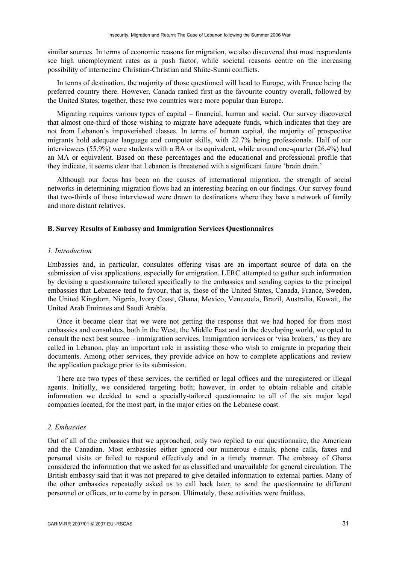similar sources. In terms of economic reasons for migration, we also discovered that most respondents see high unemployment rates as a push factor, while societal reasons centre on the increasing possibility of internecine Christian-Christian and Shiite-Sunni conflicts.

In terms of destination, the majority of those questioned will head to Europe, with France being the preferred country there. However, Canada ranked first as the favourite country overall, followed by the United States; together, these two countries were more popular than Europe.

Migrating requires various types of capital – financial, human and social. Our survey discovered that almost one-third of those wishing to migrate have adequate funds, which indicates that they are not from Lebanon's impoverished classes. In terms of human capital, the majority of prospective migrants hold adequate language and computer skills, with 22.7% being professionals. Half of our interviewees (55.9%) were students with a BA or its equivalent, while around one-quarter (26.4%) had an MA or equivalent. Based on these percentages and the educational and professional profile that they indicate, it seems clear that Lebanon is threatened with a significant future 'brain drain.'

Although our focus has been on the causes of international migration, the strength of social networks in determining migration flows had an interesting bearing on our findings. Our survey found that two-thirds of those interviewed were drawn to destinations where they have a network of family and more distant relatives.

#### **B. Survey Results of Embassy and Immigration Services Questionnaires**

#### *1. Introduction*

Embassies and, in particular, consulates offering visas are an important source of data on the submission of visa applications, especially for emigration. LERC attempted to gather such information by devising a questionnaire tailored specifically to the embassies and sending copies to the principal embassies that Lebanese tend to favour, that is, those of the United States, Canada, France, Sweden, the United Kingdom, Nigeria, Ivory Coast, Ghana, Mexico, Venezuela, Brazil, Australia, Kuwait, the United Arab Emirates and Saudi Arabia.

Once it became clear that we were not getting the response that we had hoped for from most embassies and consulates, both in the West, the Middle East and in the developing world, we opted to consult the next best source – immigration services. Immigration services or 'visa brokers,' as they are called in Lebanon, play an important role in assisting those who wish to emigrate in preparing their documents. Among other services, they provide advice on how to complete applications and review the application package prior to its submission.

There are two types of these services, the certified or legal offices and the unregistered or illegal agents. Initially, we considered targeting both; however, in order to obtain reliable and citable information we decided to send a specially-tailored questionnaire to all of the six major legal companies located, for the most part, in the major cities on the Lebanese coast.

#### *2. Embassies*

Out of all of the embassies that we approached, only two replied to our questionnaire, the American and the Canadian. Most embassies either ignored our numerous e-mails, phone calls, faxes and personal visits or failed to respond effectively and in a timely manner. The embassy of Ghana considered the information that we asked for as classified and unavailable for general circulation. The British embassy said that it was not prepared to give detailed information to external parties. Many of the other embassies repeatedly asked us to call back later, to send the questionnaire to different personnel or offices, or to come by in person. Ultimately, these activities were fruitless.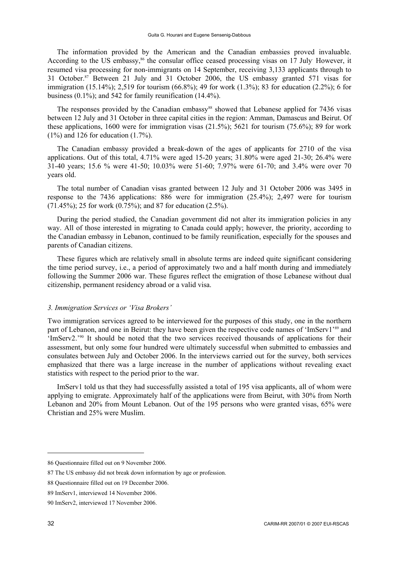The information provided by the American and the Canadian embassies proved invaluable. According to the US embassy,<sup>86</sup> the consular office ceased processing visas on 17 July However, it resumed visa processing for non-immigrants on 14 September, receiving 3,133 applicants through to 31 October.87 Between 21 July and 31 October 2006, the US embassy granted 571 visas for immigration (15.14%); 2,519 for tourism (66.8%); 49 for work (1.3%); 83 for education (2.2%); 6 for business (0.1%); and 542 for family reunification (14.4%).

The responses provided by the Canadian embassy<sup>88</sup> showed that Lebanese applied for 7436 visas between 12 July and 31 October in three capital cities in the region: Amman, Damascus and Beirut. Of these applications, 1600 were for immigration visas (21.5%); 5621 for tourism (75.6%); 89 for work (1%) and 126 for education (1.7%).

The Canadian embassy provided a break-down of the ages of applicants for 2710 of the visa applications. Out of this total, 4.71% were aged 15-20 years; 31.80% were aged 21-30; 26.4% were 31-40 years; 15.6 % were 41-50; 10.03% were 51-60; 7.97% were 61-70; and 3.4% were over 70 years old.

The total number of Canadian visas granted between 12 July and 31 October 2006 was 3495 in response to the 7436 applications: 886 were for immigration (25.4%); 2,497 were for tourism (71.45%); 25 for work (0.75%); and 87 for education (2.5%).

During the period studied, the Canadian government did not alter its immigration policies in any way. All of those interested in migrating to Canada could apply; however, the priority, according to the Canadian embassy in Lebanon, continued to be family reunification, especially for the spouses and parents of Canadian citizens.

These figures which are relatively small in absolute terms are indeed quite significant considering the time period survey, i.e., a period of approximately two and a half month during and immediately following the Summer 2006 war. These figures reflect the emigration of those Lebanese without dual citizenship, permanent residency abroad or a valid visa.

#### *3. Immigration Services or 'Visa Brokers'*

Two immigration services agreed to be interviewed for the purposes of this study, one in the northern part of Lebanon, and one in Beirut: they have been given the respective code names of 'ImServ1'89 and 'ImServ2.'90 It should be noted that the two services received thousands of applications for their assessment, but only some four hundred were ultimately successful when submitted to embassies and consulates between July and October 2006. In the interviews carried out for the survey, both services emphasized that there was a large increase in the number of applications without revealing exact statistics with respect to the period prior to the war.

ImServ1 told us that they had successfully assisted a total of 195 visa applicants, all of whom were applying to emigrate. Approximately half of the applications were from Beirut, with 30% from North Lebanon and 20% from Mount Lebanon. Out of the 195 persons who were granted visas, 65% were Christian and 25% were Muslim.

<sup>86</sup> Questionnaire filled out on 9 November 2006.

<sup>87</sup> The US embassy did not break down information by age or profession.

<sup>88</sup> Questionnaire filled out on 19 December 2006.

<sup>89</sup> ImServ1, interviewed 14 November 2006.

<sup>90</sup> ImServ2, interviewed 17 November 2006.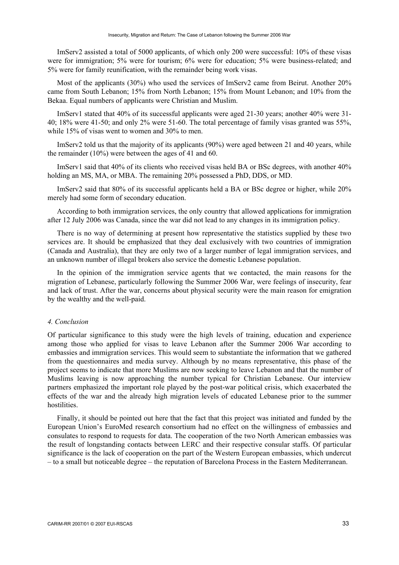ImServ2 assisted a total of 5000 applicants, of which only 200 were successful: 10% of these visas were for immigration; 5% were for tourism; 6% were for education; 5% were business-related; and 5% were for family reunification, with the remainder being work visas.

Most of the applicants (30%) who used the services of ImServ2 came from Beirut. Another 20% came from South Lebanon; 15% from North Lebanon; 15% from Mount Lebanon; and 10% from the Bekaa. Equal numbers of applicants were Christian and Muslim.

ImServ1 stated that 40% of its successful applicants were aged 21-30 years; another 40% were 31- 40; 18% were 41-50; and only 2% were 51-60. The total percentage of family visas granted was 55%, while 15% of visas went to women and 30% to men.

ImServ2 told us that the majority of its applicants (90%) were aged between 21 and 40 years, while the remainder (10%) were between the ages of 41 and 60.

ImServ1 said that 40% of its clients who received visas held BA or BSc degrees, with another 40% holding an MS, MA, or MBA. The remaining 20% possessed a PhD, DDS, or MD.

ImServ2 said that 80% of its successful applicants held a BA or BSc degree or higher, while 20% merely had some form of secondary education.

According to both immigration services, the only country that allowed applications for immigration after 12 July 2006 was Canada, since the war did not lead to any changes in its immigration policy.

There is no way of determining at present how representative the statistics supplied by these two services are. It should be emphasized that they deal exclusively with two countries of immigration (Canada and Australia), that they are only two of a larger number of legal immigration services, and an unknown number of illegal brokers also service the domestic Lebanese population.

In the opinion of the immigration service agents that we contacted, the main reasons for the migration of Lebanese, particularly following the Summer 2006 War, were feelings of insecurity, fear and lack of trust. After the war, concerns about physical security were the main reason for emigration by the wealthy and the well-paid.

## *4. Conclusion*

Of particular significance to this study were the high levels of training, education and experience among those who applied for visas to leave Lebanon after the Summer 2006 War according to embassies and immigration services. This would seem to substantiate the information that we gathered from the questionnaires and media survey. Although by no means representative, this phase of the project seems to indicate that more Muslims are now seeking to leave Lebanon and that the number of Muslims leaving is now approaching the number typical for Christian Lebanese. Our interview partners emphasized the important role played by the post-war political crisis, which exacerbated the effects of the war and the already high migration levels of educated Lebanese prior to the summer hostilities.

Finally, it should be pointed out here that the fact that this project was initiated and funded by the European Union's EuroMed research consortium had no effect on the willingness of embassies and consulates to respond to requests for data. The cooperation of the two North American embassies was the result of longstanding contacts between LERC and their respective consular staffs. Of particular significance is the lack of cooperation on the part of the Western European embassies, which undercut – to a small but noticeable degree – the reputation of Barcelona Process in the Eastern Mediterranean.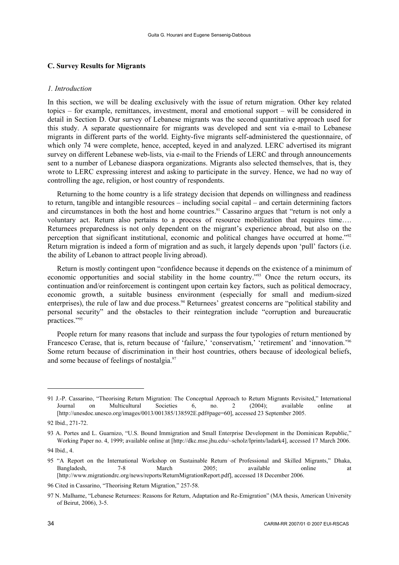### **C. Survey Results for Migrants**

#### *1. Introduction*

In this section, we will be dealing exclusively with the issue of return migration. Other key related topics – for example, remittances, investment, moral and emotional support – will be considered in detail in Section D. Our survey of Lebanese migrants was the second quantitative approach used for this study. A separate questionnaire for migrants was developed and sent via e-mail to Lebanese migrants in different parts of the world. Eighty-five migrants self-administered the questionnaire, of which only 74 were complete, hence, accepted, keyed in and analyzed. LERC advertised its migrant survey on different Lebanese web-lists, via e-mail to the Friends of LERC and through announcements sent to a number of Lebanese diaspora organizations. Migrants also selected themselves, that is, they wrote to LERC expressing interest and asking to participate in the survey. Hence, we had no way of controlling the age, religion, or host country of respondents.

Returning to the home country is a life strategy decision that depends on willingness and readiness to return, tangible and intangible resources – including social capital – and certain determining factors and circumstances in both the host and home countries.<sup>91</sup> Cassarino argues that "return is not only a voluntary act. Return also pertains to a process of resource mobilization that requires time…. Returnees preparedness is not only dependent on the migrant's experience abroad, but also on the perception that significant institutional, economic and political changes have occurred at home."92 Return migration is indeed a form of migration and as such, it largely depends upon 'pull' factors (i.e. the ability of Lebanon to attract people living abroad).

Return is mostly contingent upon "confidence because it depends on the existence of a minimum of economic opportunities and social stability in the home country."<sup>93</sup> Once the return occurs, its continuation and/or reinforcement is contingent upon certain key factors, such as political democracy, economic growth, a suitable business environment (especially for small and medium-sized enterprises), the rule of law and due process.<sup>94</sup> Returnees' greatest concerns are "political stability and personal security" and the obstacles to their reintegration include "corruption and bureaucratic practices."95

People return for many reasons that include and surpass the four typologies of return mentioned by Francesco Cerase, that is, return because of 'failure,' 'conservatism,' 'retirement' and 'innovation.'<sup>96</sup> Some return because of discrimination in their host countries, others because of ideological beliefs, and some because of feelings of nostalgia.<sup>97</sup>

<sup>91</sup> J.-P. Cassarino, "Theorising Return Migration: The Conceptual Approach to Return Migrants Revisited," International Journal on Multicultural Societies 6, no. 2 (2004); available online at [http://unesdoc.unesco.org/images/0013/001385/138592E.pdf#page=60], accessed 23 September 2005.

<sup>92</sup> Ibid., 271-72.

<sup>93</sup> A. Portes and L. Guarnizo, "U.S. Bound Immigration and Small Enterprise Development in the Dominican Republic," Working Paper no. 4, 1999; available online at [http://dkc.mse.jhu.edu/~scholz/Iprints/ladark4], accessed 17 March 2006.

<sup>94</sup> Ibid., 4.

<sup>95 &</sup>quot;A Report on the International Workshop on Sustainable Return of Professional and Skilled Migrants," Dhaka, Bangladesh, 7-8 March 2005; available online at [http://www.migrationdrc.org/news/reports/ReturnMigrationReport.pdf], accessed 18 December 2006.

<sup>96</sup> Cited in Cassarino, "Theorising Return Migration," 257-58.

<sup>97</sup> N. Malhame, "Lebanese Returnees: Reasons for Return, Adaptation and Re-Emigration" (MA thesis, American University of Beirut, 2006), 3-5.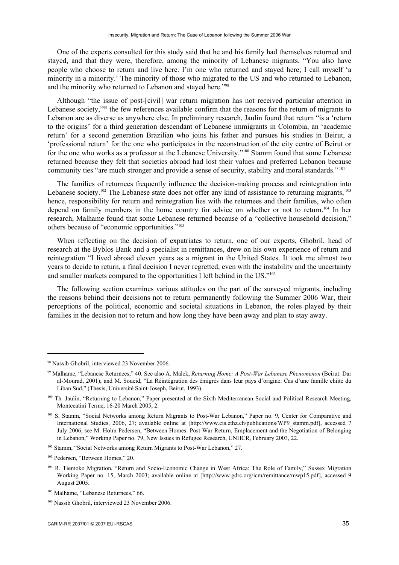One of the experts consulted for this study said that he and his family had themselves returned and stayed, and that they were, therefore, among the minority of Lebanese migrants. "You also have people who choose to return and live here. I'm one who returned and stayed here; I call myself 'a minority in a minority.' The minority of those who migrated to the US and who returned to Lebanon, and the minority who returned to Lebanon and stayed here."98

Although "the issue of post-[civil] war return migration has not received particular attention in Lebanese society,"99 the few references available confirm that the reasons for the return of migrants to Lebanon are as diverse as anywhere else. In preliminary research, Jaulin found that return "is a 'return to the origins' for a third generation descendant of Lebanese immigrants in Colombia, an 'academic return' for a second generation Brazilian who joins his father and pursues his studies in Beirut, a 'professional return' for the one who participates in the reconstruction of the city centre of Beirut or for the one who works as a professor at the Lebanese University."<sup>100</sup> Stamm found that some Lebanese returned because they felt that societies abroad had lost their values and preferred Lebanon because community ties "are much stronger and provide a sense of security, stability and moral standards."<sup>101</sup>

The families of returnees frequently influence the decision-making process and reintegration into Lebanese society.<sup>102</sup> The Lebanese state does not offer any kind of assistance to returning migrants,  $^{103}$ hence, responsibility for return and reintegration lies with the returnees and their families, who often depend on family members in the home country for advice on whether or not to return.104 In her research, Malhame found that some Lebanese returned because of a "collective household decision," others because of "economic opportunities."105

When reflecting on the decision of expatriates to return, one of our experts, Ghobril, head of research at the Byblos Bank and a specialist in remittances, drew on his own experience of return and reintegration "I lived abroad eleven years as a migrant in the United States. It took me almost two years to decide to return, a final decision I never regretted, even with the instability and the uncertainty and smaller markets compared to the opportunities I left behind in the US."106

The following section examines various attitudes on the part of the surveyed migrants, including the reasons behind their decisions not to return permanently following the Summer 2006 War, their perceptions of the political, economic and societal situations in Lebanon, the roles played by their families in the decision not to return and how long they have been away and plan to stay away.

<sup>98</sup> Nassib Ghobril, interviewed 23 November 2006.

<sup>99</sup> Malhame, "Lebanese Returnees," 40. See also A. Malek, *Returning Home: A Post-War Lebanese Phenomenon* (Beirut: Dar al-Mourad, 2001); and M. Soueid, "La Réintégration des émigrés dans leur pays d'origine: Cas d'une famille chiite du Liban Sud," (Thesis, Université Saint-Joseph, Beirut, 1993).

<sup>&</sup>lt;sup>100</sup> Th. Jaulin, "Returning to Lebanon," Paper presented at the Sixth Mediterranean Social and Political Research Meeting, Montecatini Terme, 16-20 March 2005, 2.

<sup>&</sup>lt;sup>101</sup> S. Stamm, "Social Networks among Return Migrants to Post-War Lebanon," Paper no. 9, Center for Comparative and International Studies, 2006, 27; available online at [http://www.cis.ethz.ch/publications/WP9\_stamm.pdf], accessed 7 July 2006, see M. Holm Pedersen, "Between Homes: Post-War Return, Emplacement and the Negotiation of Belonging in Lebanon," Working Paper no. 79, New Issues in Refugee Research, UNHCR, February 2003, 22.

<sup>&</sup>lt;sup>102</sup> Stamm, "Social Networks among Return Migrants to Post-War Lebanon," 27.

<sup>&</sup>lt;sup>103</sup> Pedersen, "Between Homes," 20.

<sup>104</sup> R. Tiemoko Migration, "Return and Socio-Economic Change in West Africa: The Role of Family," Sussex Migration Working Paper no. 15, March 2003; available online at [http://www.gdrc.org/icm/remittance/mwp15.pdf], accessed 9 August 2005.

<sup>&</sup>lt;sup>105</sup> Malhame, "Lebanese Returnees," 66.

<sup>106</sup> Nassib Ghobril, interviewed 23 November 2006.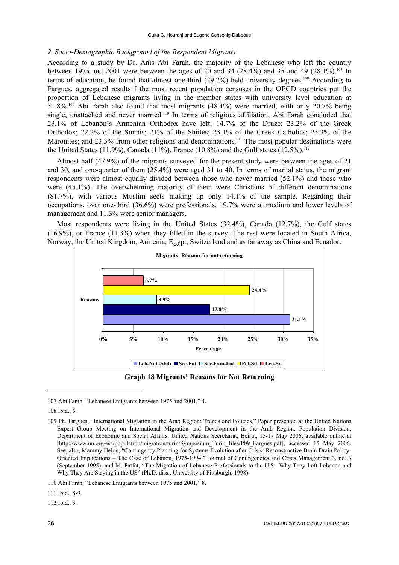## *2. Socio-Demographic Background of the Respondent Migrants*

According to a study by Dr. Anis Abi Farah, the majority of the Lebanese who left the country between 1975 and 2001 were between the ages of 20 and 34 (28.4%) and 35 and 49 (28.1%).<sup>107</sup> In terms of education, he found that almost one-third (29.2%) held university degrees.<sup>108</sup> According to Fargues, aggregated results f the most recent population censuses in the OECD countries put the proportion of Lebanese migrants living in the member states with university level education at 51.8%.109 Abi Farah also found that most migrants (48.4%) were married, with only 20.7% being single, unattached and never married.<sup>110</sup> In terms of religious affiliation. Abi Farah concluded that 23.1% of Lebanon's Armenian Orthodox have left; 14.7% of the Druze; 23.2% of the Greek Orthodox; 22.2% of the Sunnis; 21% of the Shiites; 23.1% of the Greek Catholics; 23.3% of the Maronites; and 23.3% from other religions and denominations.<sup>111</sup> The most popular destinations were the United States (11.9%), Canada (11%), France (10.8%) and the Gulf states (12.5%).<sup>112</sup>

Almost half (47.9%) of the migrants surveyed for the present study were between the ages of 21 and 30, and one-quarter of them (25.4%) were aged 31 to 40. In terms of marital status, the migrant respondents were almost equally divided between those who never married (52.1%) and those who were (45.1%). The overwhelming majority of them were Christians of different denominations (81.7%), with various Muslim sects making up only 14.1% of the sample. Regarding their occupations, over one-third (36.6%) were professionals, 19.7% were at medium and lower levels of management and 11.3% were senior managers.

Most respondents were living in the United States (32.4%), Canada (12.7%), the Gulf states (16.9%), or France (11.3%) when they filled in the survey. The rest were located in South Africa, Norway, the United Kingdom, Armenia, Egypt, Switzerland and as far away as China and Ecuador.



-

111 Ibid., 8-9.

112 Ibid., 3.

<sup>107</sup> Abi Farah, "Lebanese Emigrants between 1975 and 2001," 4.

<sup>108</sup> Ibid., 6.

<sup>109</sup> Ph. Fargues, "International Migration in the Arab Region: Trends and Policies," Paper presented at the United Nations Expert Group Meeting on International Migration and Development in the Arab Region, Population Division, Department of Economic and Social Affairs, United Nations Secretariat, Beirut, 15-17 May 2006; available online at [http://www.un.org/esa/population/migration/turin/Symposium\_Turin\_files/P09\_Fargues.pdf], accessed 15 May 2006. See, also, Mammy Helou, "Contingency Planning for Systems Evolution after Crisis: Reconstructive Brain Drain Policy-Oriented Implications – The Case of Lebanon, 1975-1994," Journal of Contingencies and Crisis Management 3, no. 3 (September 1995); and M. Fatfat, "The Migration of Lebanese Professionals to the U.S.: Why They Left Lebanon and Why They Are Staying in the US" (Ph.D. diss., University of Pittsburgh, 1998).

<sup>110</sup> Abi Farah, "Lebanese Emigrants between 1975 and 2001," 8.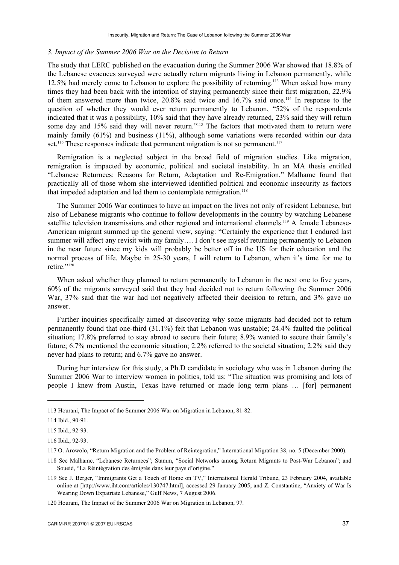#### *3. Impact of the Summer 2006 War on the Decision to Return*

The study that LERC published on the evacuation during the Summer 2006 War showed that 18.8% of the Lebanese evacuees surveyed were actually return migrants living in Lebanon permanently, while 12.5% had merely come to Lebanon to explore the possibility of returning.113 When asked how many times they had been back with the intention of staying permanently since their first migration, 22.9% of them answered more than twice,  $20.8\%$  said twice and  $16.7\%$  said once.<sup>114</sup> In response to the question of whether they would ever return permanently to Lebanon, "52% of the respondents indicated that it was a possibility, 10% said that they have already returned, 23% said they will return some day and 15% said they will never return."<sup>115</sup> The factors that motivated them to return were mainly family (61%) and business (11%), although some variations were recorded within our data set.<sup>116</sup> These responses indicate that permanent migration is not so permanent.<sup>117</sup>

Remigration is a neglected subject in the broad field of migration studies. Like migration, remigration is impacted by economic, political and societal instability. In an MA thesis entitled "Lebanese Returnees: Reasons for Return, Adaptation and Re-Emigration," Malhame found that practically all of those whom she interviewed identified political and economic insecurity as factors that impeded adaptation and led them to contemplate remigration.<sup>118</sup>

The Summer 2006 War continues to have an impact on the lives not only of resident Lebanese, but also of Lebanese migrants who continue to follow developments in the country by watching Lebanese satellite television transmissions and other regional and international channels.<sup>119</sup> A female Lebanese-American migrant summed up the general view, saying: "Certainly the experience that I endured last summer will affect any revisit with my family.... I don't see myself returning permanently to Lebanon in the near future since my kids will probably be better off in the US for their education and the normal process of life. Maybe in 25-30 years, I will return to Lebanon, when it's time for me to retire."<sup>120</sup>

When asked whether they planned to return permanently to Lebanon in the next one to five years, 60% of the migrants surveyed said that they had decided not to return following the Summer 2006 War, 37% said that the war had not negatively affected their decision to return, and 3% gave no answer.

Further inquiries specifically aimed at discovering why some migrants had decided not to return permanently found that one-third (31.1%) felt that Lebanon was unstable; 24.4% faulted the political situation; 17.8% preferred to stay abroad to secure their future; 8.9% wanted to secure their family's future; 6.7% mentioned the economic situation; 2.2% referred to the societal situation; 2.2% said they never had plans to return; and 6.7% gave no answer.

During her interview for this study, a Ph.D candidate in sociology who was in Lebanon during the Summer 2006 War to interview women in politics, told us: "The situation was promising and lots of people I knew from Austin, Texas have returned or made long term plans … [for] permanent

<sup>113</sup> Hourani, The Impact of the Summer 2006 War on Migration in Lebanon, 81-82.

<sup>114</sup> Ibid., 90-91.

<sup>115</sup> Ibid., 92-93.

<sup>116</sup> Ibid., 92-93.

<sup>117</sup> O. Arowolo, "Return Migration and the Problem of Reintegration," International Migration 38, no. 5 (December 2000).

<sup>118</sup> See Malhame, "Lebanese Returnees"; Stamm, "Social Networks among Return Migrants to Post-War Lebanon"; and Soueid, "La Réintégration des émigrés dans leur pays d'origine."

<sup>119</sup> See J. Berger, "Immigrants Get a Touch of Home on TV," International Herald Tribune, 23 February 2004, available online at [http://www.iht.com/articles/130747.html], accessed 29 January 2005; and Z. Constantine, "Anxiety of War Is Wearing Down Expatriate Lebanese," Gulf News, 7 August 2006.

<sup>120</sup> Hourani, The Impact of the Summer 2006 War on Migration in Lebanon, 97.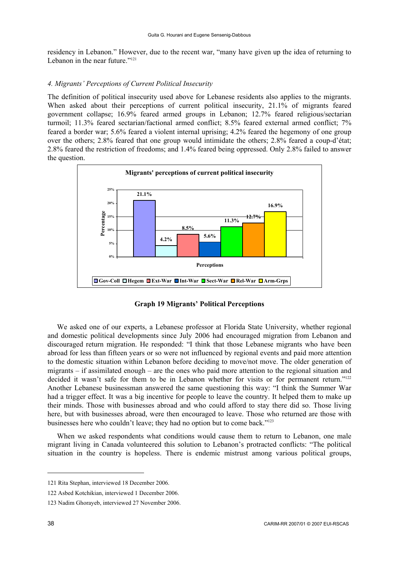residency in Lebanon." However, due to the recent war, "many have given up the idea of returning to Lebanon in the near future."<sup>121</sup>

## *4. Migrants' Perceptions of Current Political Insecurity*

The definition of political insecurity used above for Lebanese residents also applies to the migrants. When asked about their perceptions of current political insecurity, 21.1% of migrants feared government collapse; 16.9% feared armed groups in Lebanon; 12.7% feared religious/sectarian turmoil; 11.3% feared sectarian/factional armed conflict; 8.5% feared external armed conflict; 7% feared a border war; 5.6% feared a violent internal uprising; 4.2% feared the hegemony of one group over the others; 2.8% feared that one group would intimidate the others; 2.8% feared a coup-d'état; 2.8% feared the restriction of freedoms; and 1.4% feared being oppressed. Only 2.8% failed to answer the question.



**Graph 19 Migrants' Political Perceptions** 

We asked one of our experts, a Lebanese professor at Florida State University, whether regional and domestic political developments since July 2006 had encouraged migration from Lebanon and discouraged return migration. He responded: "I think that those Lebanese migrants who have been abroad for less than fifteen years or so were not influenced by regional events and paid more attention to the domestic situation within Lebanon before deciding to move/not move. The older generation of migrants – if assimilated enough – are the ones who paid more attention to the regional situation and decided it wasn't safe for them to be in Lebanon whether for visits or for permanent return."<sup>122</sup> Another Lebanese businessman answered the same questioning this way: "I think the Summer War had a trigger effect. It was a big incentive for people to leave the country. It helped them to make up their minds. Those with businesses abroad and who could afford to stay there did so. Those living here, but with businesses abroad, were then encouraged to leave. Those who returned are those with businesses here who couldn't leave; they had no option but to come back."123

When we asked respondents what conditions would cause them to return to Lebanon, one male migrant living in Canada volunteered this solution to Lebanon's protracted conflicts: "The political situation in the country is hopeless. There is endemic mistrust among various political groups,

<sup>121</sup> Rita Stephan, interviewed 18 December 2006.

<sup>122</sup> Asbed Kotchikian, interviewed 1 December 2006.

<sup>123</sup> Nadim Ghorayeb, interviewed 27 November 2006.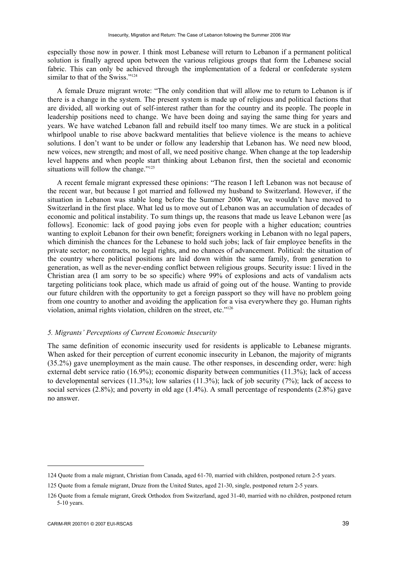especially those now in power. I think most Lebanese will return to Lebanon if a permanent political solution is finally agreed upon between the various religious groups that form the Lebanese social fabric. This can only be achieved through the implementation of a federal or confederate system similar to that of the Swiss."<sup>124</sup>

A female Druze migrant wrote: "The only condition that will allow me to return to Lebanon is if there is a change in the system. The present system is made up of religious and political factions that are divided, all working out of self-interest rather than for the country and its people. The people in leadership positions need to change. We have been doing and saying the same thing for years and years. We have watched Lebanon fall and rebuild itself too many times. We are stuck in a political whirlpool unable to rise above backward mentalities that believe violence is the means to achieve solutions. I don't want to be under or follow any leadership that Lebanon has. We need new blood, new voices, new strength; and most of all, we need positive change. When change at the top leadership level happens and when people start thinking about Lebanon first, then the societal and economic situations will follow the change."<sup>125</sup>

A recent female migrant expressed these opinions: "The reason I left Lebanon was not because of the recent war, but because I got married and followed my husband to Switzerland. However, if the situation in Lebanon was stable long before the Summer 2006 War, we wouldn't have moved to Switzerland in the first place. What led us to move out of Lebanon was an accumulation of decades of economic and political instability. To sum things up, the reasons that made us leave Lebanon were [as follows]. Economic: lack of good paying jobs even for people with a higher education; countries wanting to exploit Lebanon for their own benefit; foreigners working in Lebanon with no legal papers, which diminish the chances for the Lebanese to hold such jobs; lack of fair employee benefits in the private sector; no contracts, no legal rights, and no chances of advancement. Political: the situation of the country where political positions are laid down within the same family, from generation to generation, as well as the never-ending conflict between religious groups. Security issue: I lived in the Christian area (I am sorry to be so specific) where 99% of explosions and acts of vandalism acts targeting politicians took place, which made us afraid of going out of the house. Wanting to provide our future children with the opportunity to get a foreign passport so they will have no problem going from one country to another and avoiding the application for a visa everywhere they go. Human rights violation, animal rights violation, children on the street, etc."126

## *5. Migrants' Perceptions of Current Economic Insecurity*

The same definition of economic insecurity used for residents is applicable to Lebanese migrants. When asked for their perception of current economic insecurity in Lebanon, the majority of migrants (35.2%) gave unemployment as the main cause. The other responses, in descending order, were: high external debt service ratio (16.9%); economic disparity between communities (11.3%); lack of access to developmental services (11.3%); low salaries (11.3%); lack of job security (7%); lack of access to social services (2.8%); and poverty in old age (1.4%). A small percentage of respondents (2.8%) gave no answer.

<sup>124</sup> Quote from a male migrant, Christian from Canada, aged 61-70, married with children, postponed return 2-5 years.

<sup>125</sup> Quote from a female migrant, Druze from the United States, aged 21-30, single, postponed return 2-5 years.

<sup>126</sup> Quote from a female migrant, Greek Orthodox from Switzerland, aged 31-40, married with no children, postponed return 5-10 years.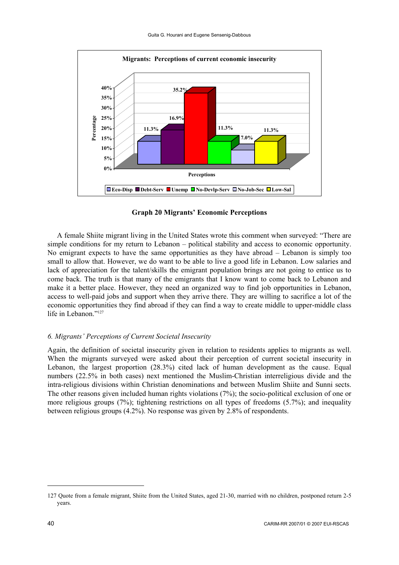

**Graph 20 Migrants' Economic Perceptions** 

A female Shiite migrant living in the United States wrote this comment when surveyed: "There are simple conditions for my return to Lebanon – political stability and access to economic opportunity. No emigrant expects to have the same opportunities as they have abroad – Lebanon is simply too small to allow that. However, we do want to be able to live a good life in Lebanon. Low salaries and lack of appreciation for the talent/skills the emigrant population brings are not going to entice us to come back. The truth is that many of the emigrants that I know want to come back to Lebanon and make it a better place. However, they need an organized way to find job opportunities in Lebanon, access to well-paid jobs and support when they arrive there. They are willing to sacrifice a lot of the economic opportunities they find abroad if they can find a way to create middle to upper-middle class life in Lebanon."<sup>127</sup>

### *6. Migrants' Perceptions of Current Societal Insecurity*

Again, the definition of societal insecurity given in relation to residents applies to migrants as well. When the migrants surveyed were asked about their perception of current societal insecurity in Lebanon, the largest proportion (28.3%) cited lack of human development as the cause. Equal numbers (22.5% in both cases) next mentioned the Muslim-Christian interreligious divide and the intra-religious divisions within Christian denominations and between Muslim Shiite and Sunni sects. The other reasons given included human rights violations (7%); the socio-political exclusion of one or more religious groups (7%); tightening restrictions on all types of freedoms (5.7%); and inequality between religious groups (4.2%). No response was given by 2.8% of respondents.

<sup>127</sup> Quote from a female migrant, Shiite from the United States, aged 21-30, married with no children, postponed return 2-5 years.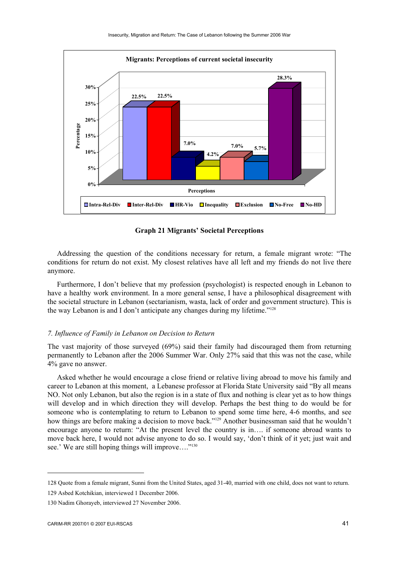

**Graph 21 Migrants' Societal Perceptions** 

Addressing the question of the conditions necessary for return, a female migrant wrote: "The conditions for return do not exist. My closest relatives have all left and my friends do not live there anymore.

Furthermore, I don't believe that my profession (psychologist) is respected enough in Lebanon to have a healthy work environment. In a more general sense, I have a philosophical disagreement with the societal structure in Lebanon (sectarianism, wasta, lack of order and government structure). This is the way Lebanon is and I don't anticipate any changes during my lifetime."<sup>128</sup>

#### *7. Influence of Family in Lebanon on Decision to Return*

The vast majority of those surveyed (69%) said their family had discouraged them from returning permanently to Lebanon after the 2006 Summer War. Only 27% said that this was not the case, while 4% gave no answer.

Asked whether he would encourage a close friend or relative living abroad to move his family and career to Lebanon at this moment, a Lebanese professor at Florida State University said "By all means NO. Not only Lebanon, but also the region is in a state of flux and nothing is clear yet as to how things will develop and in which direction they will develop. Perhaps the best thing to do would be for someone who is contemplating to return to Lebanon to spend some time here, 4-6 months, and see how things are before making a decision to move back."<sup>129</sup> Another businessman said that he wouldn't encourage anyone to return: "At the present level the country is in…. if someone abroad wants to move back here, I would not advise anyone to do so. I would say, 'don't think of it yet; just wait and see.' We are still hoping things will improve...."<sup>130</sup>

<sup>128</sup> Quote from a female migrant, Sunni from the United States, aged 31-40, married with one child, does not want to return.

<sup>129</sup> Asbed Kotchikian, interviewed 1 December 2006.

<sup>130</sup> Nadim Ghorayeb, interviewed 27 November 2006.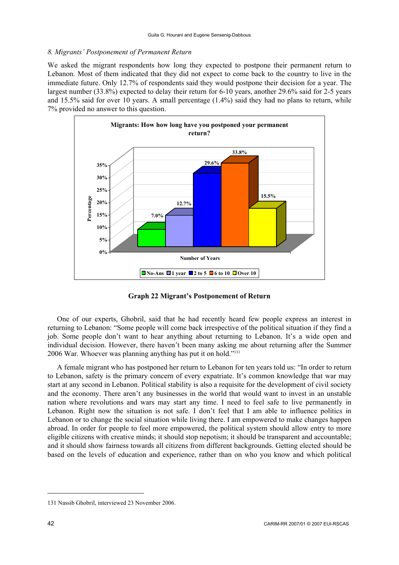## *8. Migrants' Postponement of Permanent Return*

We asked the migrant respondents how long they expected to postpone their permanent return to Lebanon. Most of them indicated that they did not expect to come back to the country to live in the immediate future. Only 12.7% of respondents said they would postpone their decision for a year. The largest number (33.8%) expected to delay their return for 6-10 years, another 29.6% said for 2-5 years and 15.5% said for over 10 years. A small percentage (1.4%) said they had no plans to return, while 7% provided no answer to this question.



**Graph 22 Migrant's Postponement of Return** 

One of our experts, Ghobril, said that he had recently heard few people express an interest in returning to Lebanon: "Some people will come back irrespective of the political situation if they find a job. Some people don't want to hear anything about returning to Lebanon. It's a wide open and individual decision. However, there haven't been many asking me about returning after the Summer 2006 War. Whoever was planning anything has put it on hold."131

A female migrant who has postponed her return to Lebanon for ten years told us: "In order to return to Lebanon, safety is the primary concern of every expatriate. It's common knowledge that war may start at any second in Lebanon. Political stability is also a requisite for the development of civil society and the economy. There aren't any businesses in the world that would want to invest in an unstable nation where revolutions and wars may start any time. I need to feel safe to live permanently in Lebanon. Right now the situation is not safe. I don't feel that I am able to influence politics in Lebanon or to change the social situation while living there. I am empowered to make changes happen abroad. In order for people to feel more empowered, the political system should allow entry to more eligible citizens with creative minds; it should stop nepotism; it should be transparent and accountable; and it should show fairness towards all citizens from different backgrounds. Getting elected should be based on the levels of education and experience, rather than on who you know and which political

<sup>131</sup> Nassib Ghobril, interviewed 23 November 2006.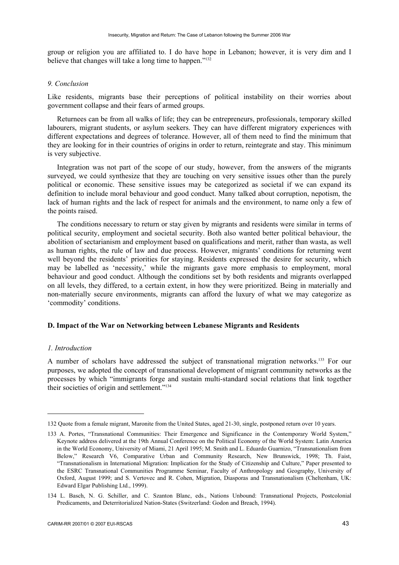group or religion you are affiliated to. I do have hope in Lebanon; however, it is very dim and I believe that changes will take a long time to happen."132

#### *9. Conclusion*

Like residents, migrants base their perceptions of political instability on their worries about government collapse and their fears of armed groups.

Returnees can be from all walks of life; they can be entrepreneurs, professionals, temporary skilled labourers, migrant students, or asylum seekers. They can have different migratory experiences with different expectations and degrees of tolerance. However, all of them need to find the minimum that they are looking for in their countries of origins in order to return, reintegrate and stay. This minimum is very subjective.

Integration was not part of the scope of our study, however, from the answers of the migrants surveyed, we could synthesize that they are touching on very sensitive issues other than the purely political or economic. These sensitive issues may be categorized as societal if we can expand its definition to include moral behaviour and good conduct. Many talked about corruption, nepotism, the lack of human rights and the lack of respect for animals and the environment, to name only a few of the points raised.

The conditions necessary to return or stay given by migrants and residents were similar in terms of political security, employment and societal security. Both also wanted better political behaviour, the abolition of sectarianism and employment based on qualifications and merit, rather than wasta, as well as human rights, the rule of law and due process. However, migrants' conditions for returning went well beyond the residents' priorities for staying. Residents expressed the desire for security, which may be labelled as 'necessity,' while the migrants gave more emphasis to employment, moral behaviour and good conduct. Although the conditions set by both residents and migrants overlapped on all levels, they differed, to a certain extent, in how they were prioritized. Being in materially and non-materially secure environments, migrants can afford the luxury of what we may categorize as 'commodity' conditions.

## **D. Impact of the War on Networking between Lebanese Migrants and Residents**

### *1. Introduction*

1

A number of scholars have addressed the subject of transnational migration networks.<sup>133</sup> For our purposes, we adopted the concept of transnational development of migrant community networks as the processes by which "immigrants forge and sustain multi-standard social relations that link together their societies of origin and settlement."134

<sup>132</sup> Quote from a female migrant, Maronite from the United States, aged 21-30, single, postponed return over 10 years.

<sup>133</sup> A. Portes, "Transnational Communities: Their Emergence and Significance in the Contemporary World System," Keynote address delivered at the 19th Annual Conference on the Political Economy of the World System: Latin America in the World Economy, University of Miami, 21 April 1995; M. Smith and L. Eduardo Guarnizo, "Transnationalism from Below," Research V6, Comparative Urban and Community Research, New Brunswick, 1998; Th. Faist, "Transnationalism in International Migration: Implication for the Study of Citizenship and Culture," Paper presented to the ESRC Transnational Communities Programme Seminar, Faculty of Anthropology and Geography, University of Oxford, August 1999; and S. Vertovec and R. Cohen, Migration, Diasporas and Transnationalism (Cheltenham, UK: Edward Elgar Publishing Ltd., 1999).

<sup>134</sup> L. Basch, N. G. Schiller, and C. Szanton Blanc, eds., Nations Unbound: Transnational Projects, Postcolonial Predicaments, and Deterritorialized Nation-States (Switzerland: Godon and Breach, 1994).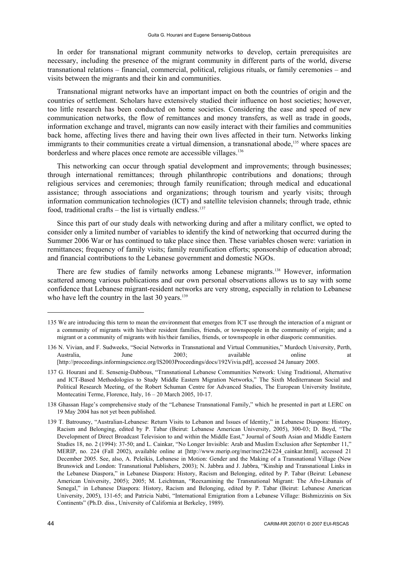In order for transnational migrant community networks to develop, certain prerequisites are necessary, including the presence of the migrant community in different parts of the world, diverse transnational relations – financial, commercial, political, religious rituals, or family ceremonies – and visits between the migrants and their kin and communities.

Transnational migrant networks have an important impact on both the countries of origin and the countries of settlement. Scholars have extensively studied their influence on host societies; however, too little research has been conducted on home societies. Considering the ease and speed of new communication networks, the flow of remittances and money transfers, as well as trade in goods, information exchange and travel, migrants can now easily interact with their families and communities back home, affecting lives there and having their own lives affected in their turn. Networks linking immigrants to their communities create a virtual dimension, a transnational abode,<sup>135</sup> where spaces are borderless and where places once remote are accessible villages.<sup>136</sup>

This networking can occur through spatial development and improvements; through businesses; through international remittances; through philanthropic contributions and donations; through religious services and ceremonies; through family reunification; through medical and educational assistance; through associations and organizations; through tourism and yearly visits; through information communication technologies (ICT) and satellite television channels; through trade, ethnic food, traditional crafts – the list is virtually endless. $137$ 

Since this part of our study deals with networking during and after a military conflict, we opted to consider only a limited number of variables to identify the kind of networking that occurred during the Summer 2006 War or has continued to take place since then. These variables chosen were: variation in remittances; frequency of family visits; family reunification efforts; sponsorship of education abroad; and financial contributions to the Lebanese government and domestic NGOs.

There are few studies of family networks among Lebanese migrants.<sup>138</sup> However, information scattered among various publications and our own personal observations allows us to say with some confidence that Lebanese migrant-resident networks are very strong, especially in relation to Lebanese who have left the country in the last  $30$  years.<sup>139</sup>

<sup>135</sup> We are introducing this term to mean the environment that emerges from ICT use through the interaction of a migrant or a community of migrants with his/their resident families, friends, or townspeople in the community of origin; and a migrant or a community of migrants with his/their families, friends, or townspeople in other diasporic communities.

<sup>136</sup> N. Vivian, and F. Sudweeks, "Social Networks in Transnational and Virtual Communities," Murdoch University, Perth, Australia, June 2003; available online at [http://proceedings.informingscience.org/IS2003Proceedings/docs/192Vivia.pdf], accessed 24 January 2005.

<sup>137</sup> G. Hourani and E. Sensenig-Dabbous, "Transnational Lebanese Communities Network: Using Traditional, Alternative and ICT-Based Methodologies to Study Middle Eastern Migration Networks," The Sixth Mediterranean Social and Political Research Meeting, of the Robert Schuman Centre for Advanced Studies, The European University Institute, Montecatini Terme, Florence, Italy, 16 – 20 March 2005, 10-17.

<sup>138</sup> Ghassan Hage's comprehensive study of the "Lebanese Transnational Family," which he presented in part at LERC on 19 May 2004 has not yet been published.

<sup>139</sup> T. Batrouney, "Australian-Lebanese: Return Visits to Lebanon and Issues of Identity," in Lebanese Diaspora: History, Racism and Belonging, edited by P. Tabar (Beirut: Lebanese American University, 2005), 300-03; D. Boyd, "The Development of Direct Broadcast Television to and within the Middle East," Journal of South Asian and Middle Eastern Studies 18, no. 2 (1994): 37-50; and L. Cainkar, "No Longer Invisible: Arab and Muslim Exclusion after September 11," MERIP, no. 224 (Fall 2002), available online at [http://www.merip.org/mer/mer224/224\_cainkar.html], accessed 21 December 2005. See, also, A. Peleikis, Lebanese in Motion: Gender and the Making of a Transnational Village (New Brunswick and London: Transnational Publishers, 2003); N. Jabbra and J. Jabbra, "Kinship and Transnational Links in the Lebanese Diaspora," in Lebanese Diaspora: History, Racism and Belonging, edited by P. Tabar (Beirut: Lebanese American University, 2005); 2005; M. Leichtman, "Reexamining the Transnational Migrant: The Afro-Libanais of Senegal," in Lebanese Diaspora: History, Racism and Belonging, edited by P. Tabar (Beirut: Lebanese American University, 2005), 131-65; and Patricia Nabti, "International Emigration from a Lebanese Village: Bishmizzinis on Six Continents" (Ph.D. diss., University of California at Berkeley, 1989).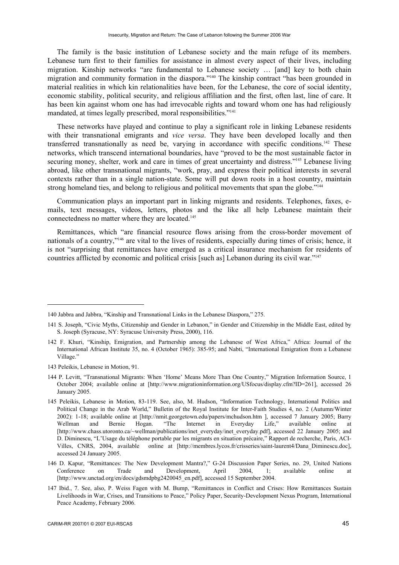The family is the basic institution of Lebanese society and the main refuge of its members. Lebanese turn first to their families for assistance in almost every aspect of their lives, including migration. Kinship networks "are fundamental to Lebanese society … [and] key to both chain migration and community formation in the diaspora."140 The kinship contract "has been grounded in material realities in which kin relationalities have been, for the Lebanese, the core of social identity, economic stability, political security, and religious affiliation and the first, often last, line of care. It has been kin against whom one has had irrevocable rights and toward whom one has had religiously mandated, at times legally prescribed, moral responsibilities."<sup>141</sup>

These networks have played and continue to play a significant role in linking Lebanese residents with their transnational emigrants and *vice versa*. They have been developed locally and then transferred transnationally as need be, varying in accordance with specific conditions.142 These networks, which transcend international boundaries, have "proved to be the most sustainable factor in securing money, shelter, work and care in times of great uncertainty and distress."<sup>143</sup> Lebanese living abroad, like other transnational migrants, "work, pray, and express their political interests in several contexts rather than in a single nation-state. Some will put down roots in a host country, maintain strong homeland ties, and belong to religious and political movements that span the globe."<sup>144</sup>

Communication plays an important part in linking migrants and residents. Telephones, faxes, emails, text messages, videos, letters, photos and the like all help Lebanese maintain their connectedness no matter where they are located.145

Remittances, which "are financial resource flows arising from the cross-border movement of nationals of a country,"146 are vital to the lives of residents, especially during times of crisis; hence, it is not "surprising that remittances have emerged as a critical insurance mechanism for residents of countries afflicted by economic and political crisis [such as] Lebanon during its civil war."147

143 Peleikis, Lebanese in Motion, 91.

<sup>140</sup> Jabbra and Jabbra, "Kinship and Transnational Links in the Lebanese Diaspora," 275.

<sup>141</sup> S. Joseph, "Civic Myths, Citizenship and Gender in Lebanon," in Gender and Citizenship in the Middle East, edited by S. Joseph (Syracuse, NY: Syracuse University Press, 2000), 116.

<sup>142</sup> F. Khuri, "Kinship, Emigration, and Partnership among the Lebanese of West Africa," Africa: Journal of the International African Institute 35, no. 4 (October 1965): 385-95; and Nabti, "International Emigration from a Lebanese Village."

<sup>144</sup> P. Levitt, "Transnational Migrants: When 'Home' Means More Than One Country," Migration Information Source, 1 October 2004; available online at [http://www.migrationinformation.org/USfocus/display.cfm?ID=261], accessed 26 January 2005.

<sup>145</sup> Peleikis, Lebanese in Motion, 83-119. See, also, M. Hudson, "Information Technology, International Politics and Political Change in the Arab World," Bulletin of the Royal Institute for Inter-Faith Studies 4, no. 2 (Autumn/Winter 2002): 1-18; available online at [http://nmit.georgetown.edu/papers/mchudson.htm ], accessed 7 January 2005; Barry Wellman and Bernie Hogan. "The Internet in Everyday Life," available online at [http://www.chass.utoronto.ca/~wellman/publications/inet\_everyday/inet\_everyday.pdf], accessed 22 January 2005; and D. Diminescu, "L'Usage du téléphone portable par les migrants en situation précaire," Rapport de recherche, Paris, ACI-Villes, CNRS, 2004, available online at [http://membres.lycos.fr/crisseries/saint-laurent4/Dana\_Diminescu.doc], accessed 24 January 2005.

<sup>146</sup> D. Kapur, "Remittances: The New Development Mantra?," G-24 Discussion Paper Series, no. 29, United Nations Conference on Trade and Development, April 2004, 1; available online at [http://www.unctad.org/en/docs/gdsmdpbg2420045\_en.pdf], accessed 15 September 2004.

<sup>147</sup> Ibid., 7. See, also, P. Weiss Fagen with M. Bump, "Remittances in Conflict and Crises: How Remittances Sustain Livelihoods in War, Crises, and Transitions to Peace," Policy Paper, Security-Development Nexus Program, International Peace Academy, February 2006.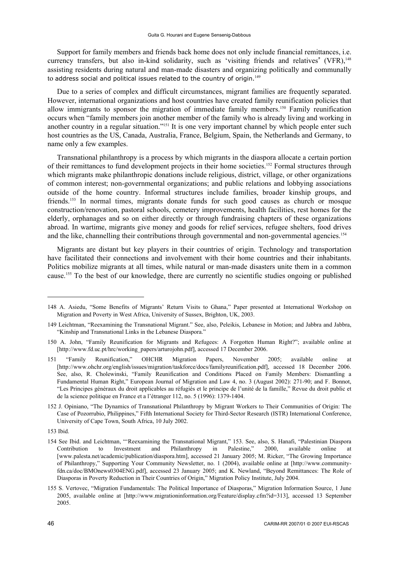Support for family members and friends back home does not only include financial remittances, i.e. currency transfers, but also in-kind solidarity, such as 'visiting friends and relatives' (VFR),<sup>148</sup> assisting residents during natural and man-made disasters and organizing politically and communally to address social and political issues related to the country of origin.<sup>149</sup>

Due to a series of complex and difficult circumstances, migrant families are frequently separated. However, international organizations and host countries have created family reunification policies that allow immigrants to sponsor the migration of immediate family members.150 Family reunification occurs when "family members join another member of the family who is already living and working in another country in a regular situation."151 It is one very important channel by which people enter such host countries as the US, Canada, Australia, France, Belgium, Spain, the Netherlands and Germany, to name only a few examples.

Transnational philanthropy is a process by which migrants in the diaspora allocate a certain portion of their remittances to fund development projects in their home societies.152 Formal structures through which migrants make philanthropic donations include religious, district, village, or other organizations of common interest; non-governmental organizations; and public relations and lobbying associations outside of the home country. Informal structures include families, broader kinship groups, and friends.153 In normal times, migrants donate funds for such good causes as church or mosque construction/renovation, pastoral schools, cemetery improvements, health facilities, rest homes for the elderly, orphanages and so on either directly or through fundraising chapters of these organizations abroad. In wartime, migrants give money and goods for relief services, refugee shelters, food drives and the like, channelling their contributions through governmental and non-governmental agencies.<sup>154</sup>

Migrants are distant but key players in their countries of origin. Technology and transportation have facilitated their connections and involvement with their home countries and their inhabitants. Politics mobilize migrants at all times, while natural or man-made disasters unite them in a common cause.155 To the best of our knowledge, there are currently no scientific studies ongoing or published

<sup>148</sup> A. Asiedu, "Some Benefits of Migrants' Return Visits to Ghana," Paper presented at International Workshop on Migration and Poverty in West Africa, University of Sussex, Brighton, UK, 2003.

<sup>149</sup> Leichtman, "Reexamining the Transnational Migrant." See, also, Peleikis, Lebanese in Motion; and Jabbra and Jabbra, "Kinship and Transnational Links in the Lebanese Diaspora."

<sup>150</sup> A. John, "Family Reunification for Migrants and Refugees: A Forgotten Human Right?"; available online at [http://www.fd.uc.pt/hrc/working\_papers/arturojohn.pdf], accessed 17 December 2006.

<sup>151 &</sup>quot;Family Reunification," OHCHR Migration Papers, November 2005; available online at [http://www.ohchr.org/english/issues/migration/taskforce/docs/familyreunification.pdf], accessed 18 December 2006. See, also, R. Cholewinski, "Family Reunification and Conditions Placed on Family Members: Dismantling a Fundamental Human Right," European Journal of Migration and Law 4, no. 3 (August 2002): 271-90; and F. Bonnot, "Les Principes généraux du droit applicables au réfugiés et le principe de l'unité de la famille," Revue du droit public et de la science politique en France et a l'étranger 112, no. 5 (1996): 1379-1404.

<sup>152</sup> J. Opiniano, "The Dynamics of Transnational Philanthropy by Migrant Workers to Their Communities of Origin: The Case of Pozorrubio, Philippines," Fifth International Society for Third-Sector Research (ISTR) International Conference, University of Cape Town, South Africa, 10 July 2002.

<sup>153</sup> Ibid.

<sup>154</sup> See Ibid. and Leichtman, "'Reexamining the Transnational Migrant," 153. See, also, S. Hanafi, "Palestinian Diaspora Contribution to Investment and Philanthropy in Palestine," 2000, available online at [www.palesta.net/academic/publication/diaspora.htm], accessed 21 January 2005; M. Ricker, "The Growing Importance of Philanthropy," Supporting Your Community Newsletter, no. 1 (2004), available online at [http://www.communityfdn.ca/doc/BMOnews0304ENG.pdf], accessed 23 January 2005; and K. Newland, "Beyond Remittances: The Role of Diasporas in Poverty Reduction in Their Countries of Origin," Migration Policy Institute, July 2004.

<sup>155</sup> S. Vertovec, "Migration Fundamentals: The Political Importance of Diasporas," Migration Information Source, 1 June 2005, available online at [http://www.migrationinformation.org/Feature/display.cfm?id=313], accessed 13 September 2005.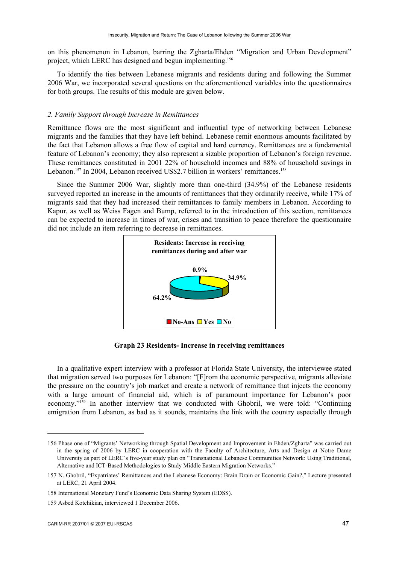on this phenomenon in Lebanon, barring the Zgharta/Ehden "Migration and Urban Development" project, which LERC has designed and begun implementing.156

To identify the ties between Lebanese migrants and residents during and following the Summer 2006 War, we incorporated several questions on the aforementioned variables into the questionnaires for both groups. The results of this module are given below.

#### *2. Family Support through Increase in Remittances*

Remittance flows are the most significant and influential type of networking between Lebanese migrants and the families that they have left behind. Lebanese remit enormous amounts facilitated by the fact that Lebanon allows a free flow of capital and hard currency. Remittances are a fundamental feature of Lebanon's economy; they also represent a sizable proportion of Lebanon's foreign revenue. These remittances constituted in 2001 22% of household incomes and 88% of household savings in Lebanon.<sup>157</sup> In 2004, Lebanon received US\$2.7 billion in workers' remittances.<sup>158</sup>

Since the Summer 2006 War, slightly more than one-third (34.9%) of the Lebanese residents surveyed reported an increase in the amounts of remittances that they ordinarily receive, while 17% of migrants said that they had increased their remittances to family members in Lebanon. According to Kapur, as well as Weiss Fagen and Bump, referred to in the introduction of this section, remittances can be expected to increase in times of war, crises and transition to peace therefore the questionnaire did not include an item referring to decrease in remittances.



**Graph 23 Residents- Increase in receiving remittances** 

In a qualitative expert interview with a professor at Florida State University, the interviewee stated that migration served two purposes for Lebanon: "[F]rom the economic perspective, migrants alleviate the pressure on the country's job market and create a network of remittance that injects the economy with a large amount of financial aid, which is of paramount importance for Lebanon's poor economy."159 In another interview that we conducted with Ghobril, we were told: "Continuing emigration from Lebanon, as bad as it sounds, maintains the link with the country especially through

<sup>156</sup> Phase one of "Migrants' Networking through Spatial Development and Improvement in Ehden/Zgharta" was carried out in the spring of 2006 by LERC in cooperation with the Faculty of Architecture, Arts and Design at Notre Dame University as part of LERC's five-year study plan on "Transnational Lebanese Communities Network: Using Traditional, Alternative and ICT-Based Methodologies to Study Middle Eastern Migration Networks."

<sup>157</sup> N. Ghobril, "Expatriates' Remittances and the Lebanese Economy: Brain Drain or Economic Gain?," Lecture presented at LERC, 21 April 2004.

<sup>158</sup> International Monetary Fund's Economic Data Sharing System (EDSS).

<sup>159</sup> Asbed Kotchikian, interviewed 1 December 2006.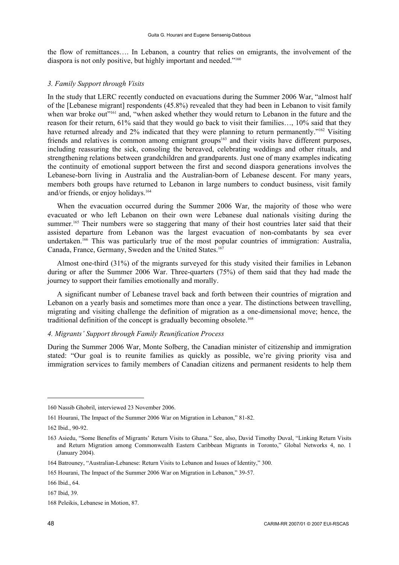the flow of remittances…. In Lebanon, a country that relies on emigrants, the involvement of the diaspora is not only positive, but highly important and needed."<sup>160</sup>

#### *3. Family Support through Visits*

In the study that LERC recently conducted on evacuations during the Summer 2006 War, "almost half of the [Lebanese migrant] respondents (45.8%) revealed that they had been in Lebanon to visit family when war broke out"<sup>161</sup> and, "when asked whether they would return to Lebanon in the future and the reason for their return, 61% said that they would go back to visit their families…, 10% said that they have returned already and 2% indicated that they were planning to return permanently."<sup>162</sup> Visiting friends and relatives is common among emigrant groups<sup>163</sup> and their visits have different purposes, including reassuring the sick, consoling the bereaved, celebrating weddings and other rituals, and strengthening relations between grandchildren and grandparents. Just one of many examples indicating the continuity of emotional support between the first and second diaspora generations involves the Lebanese-born living in Australia and the Australian-born of Lebanese descent. For many years, members both groups have returned to Lebanon in large numbers to conduct business, visit family and/or friends, or enjoy holidays.<sup>164</sup>

When the evacuation occurred during the Summer 2006 War, the majority of those who were evacuated or who left Lebanon on their own were Lebanese dual nationals visiting during the summer.<sup>165</sup> Their numbers were so staggering that many of their host countries later said that their assisted departure from Lebanon was the largest evacuation of non-combatants by sea ever undertaken.166 This was particularly true of the most popular countries of immigration: Australia, Canada, France, Germany, Sweden and the United States.<sup>167</sup>

Almost one-third (31%) of the migrants surveyed for this study visited their families in Lebanon during or after the Summer 2006 War. Three-quarters (75%) of them said that they had made the journey to support their families emotionally and morally.

A significant number of Lebanese travel back and forth between their countries of migration and Lebanon on a yearly basis and sometimes more than once a year. The distinctions between travelling, migrating and visiting challenge the definition of migration as a one-dimensional move; hence, the traditional definition of the concept is gradually becoming obsolete.<sup>168</sup>

# *4. Migrants' Support through Family Reunification Process*

During the Summer 2006 War, Monte Solberg, the Canadian minister of citizenship and immigration stated: "Our goal is to reunite families as quickly as possible, we're giving priority visa and immigration services to family members of Canadian citizens and permanent residents to help them

<sup>160</sup> Nassib Ghobril, interviewed 23 November 2006.

<sup>161</sup> Hourani, The Impact of the Summer 2006 War on Migration in Lebanon," 81-82.

<sup>162</sup> Ibid., 90-92.

<sup>163</sup> Asiedu, "Some Benefits of Migrants' Return Visits to Ghana." See, also, David Timothy Duval, "Linking Return Visits and Return Migration among Commonwealth Eastern Caribbean Migrants in Toronto," Global Networks 4, no. 1 (January 2004).

<sup>164</sup> Batrouney, "Australian-Lebanese: Return Visits to Lebanon and Issues of Identity," 300.

<sup>165</sup> Hourani, The Impact of the Summer 2006 War on Migration in Lebanon," 39-57.

<sup>166</sup> Ibid., 64.

<sup>167</sup> Ibid, 39.

<sup>168</sup> Peleikis, Lebanese in Motion, 87.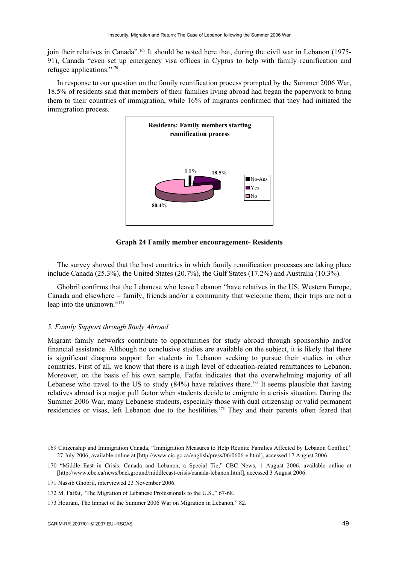join their relatives in Canada".169 It should be noted here that, during the civil war in Lebanon (1975- 91), Canada "even set up emergency visa offices in Cyprus to help with family reunification and refugee applications."170

In response to our question on the family reunification process prompted by the Summer 2006 War, 18.5% of residents said that members of their families living abroad had began the paperwork to bring them to their countries of immigration, while 16% of migrants confirmed that they had initiated the immigration process.



**Graph 24 Family member encouragement- Residents** 

The survey showed that the host countries in which family reunification processes are taking place include Canada (25.3%), the United States (20.7%), the Gulf States (17.2%) and Australia (10.3%).

Ghobril confirms that the Lebanese who leave Lebanon "have relatives in the US, Western Europe, Canada and elsewhere – family, friends and/or a community that welcome them; their trips are not a leap into the unknown."171

### *5. Family Support through Study Abroad*

Migrant family networks contribute to opportunities for study abroad through sponsorship and/or financial assistance. Although no conclusive studies are available on the subject, it is likely that there is significant diaspora support for students in Lebanon seeking to pursue their studies in other countries. First of all, we know that there is a high level of education-related remittances to Lebanon. Moreover, on the basis of his own sample, Fatfat indicates that the overwhelming majority of all Lebanese who travel to the US to study  $(84%)$  have relatives there.<sup>172</sup> It seems plausible that having relatives abroad is a major pull factor when students decide to emigrate in a crisis situation. During the Summer 2006 War, many Lebanese students, especially those with dual citizenship or valid permanent residencies or visas, left Lebanon due to the hostilities.<sup>173</sup> They and their parents often feared that

<sup>169</sup> Citizenship and Immigration Canada, "Immigration Measures to Help Reunite Families Affected by Lebanon Conflict," 27 July 2006, available online at [http://www.cic.gc.ca/english/press/06/0606-e.html], accessed 17 August 2006.

<sup>170 &</sup>quot;Middle East in Crisis: Canada and Lebanon, a Special Tie," CBC News, 1 August 2006, available online at [http://www.cbc.ca/news/background/middleeast-crisis/canada-lebanon.html], accessed 3 August 2006.

<sup>171</sup> Nassib Ghobril, interviewed 23 November 2006.

<sup>172</sup> M. Fatfat, "The Migration of Lebanese Professionals to the U.S.," 67-68.

<sup>173</sup> Hourani, The Impact of the Summer 2006 War on Migration in Lebanon," 82.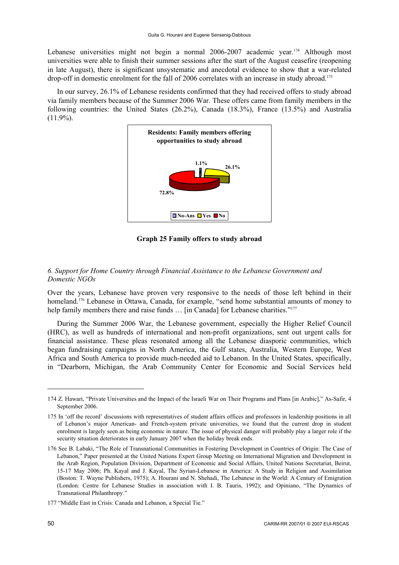Lebanese universities might not begin a normal 2006-2007 academic year.<sup>174</sup> Although most universities were able to finish their summer sessions after the start of the August ceasefire (reopening in late August), there is significant unsystematic and anecdotal evidence to show that a war-related drop-off in domestic enrolment for the fall of 2006 correlates with an increase in study abroad.<sup>175</sup>

In our survey, 26.1% of Lebanese residents confirmed that they had received offers to study abroad via family members because of the Summer 2006 War. These offers came from family members in the following countries: the United States (26.2%), Canada (18.3%), France (13.5%) and Australia  $(11.9\%)$ .



**Graph 25 Family offers to study abroad** 

## *6. Support for Home Country through Financial Assistance to the Lebanese Government and Domestic NGOs*

Over the years, Lebanese have proven very responsive to the needs of those left behind in their homeland.<sup>176</sup> Lebanese in Ottawa, Canada, for example, "send home substantial amounts of money to help family members there and raise funds ... [in Canada] for Lebanese charities."<sup>177</sup>

During the Summer 2006 War, the Lebanese government, especially the Higher Relief Council (HRC), as well as hundreds of international and non-profit organizations, sent out urgent calls for financial assistance. These pleas resonated among all the Lebanese diasporic communities, which began fundraising campaigns in North America, the Gulf states, Australia, Western Europe, West Africa and South America to provide much-needed aid to Lebanon. In the United States, specifically, in "Dearborn, Michigan, the Arab Community Center for Economic and Social Services held

<sup>174</sup> Z. Hawari, "Private Universities and the Impact of the Israeli War on Their Programs and Plans [in Arabic]," As-Safir, 4 September 2006.

<sup>175</sup> In 'off the record' discussions with representatives of student affairs offices and professors in leadership positions in all of Lebanon's major American- and French-system private universities, we found that the current drop in student enrolment is largely seen as being economic in nature. The issue of physical danger will probably play a larger role if the security situation deteriorates in early January 2007 when the holiday break ends.

<sup>176</sup> See B. Labaki, "The Role of Transnational Communities in Fostering Development in Countries of Origin: The Case of Lebanon," Paper presented at the United Nations Expert Group Meeting on International Migration and Development in the Arab Region, Population Division, Department of Economic and Social Affairs, United Nations Secretariat, Beirut, 15-17 May 2006; Ph. Kayal and J. Kayal, The Syrian-Lebanese in America: A Study in Religion and Assimilation (Boston: T. Wayne Publishers, 1975); A. Hourani and N. Shehadi, The Lebanese in the World: A Century of Emigration (London: Centre for Lebanese Studies in association with I. B. Tauris, 1992); and Opiniano, "The Dynamics of Transnational Philanthropy."

<sup>177 &</sup>quot;Middle East in Crisis: Canada and Lebanon, a Special Tie."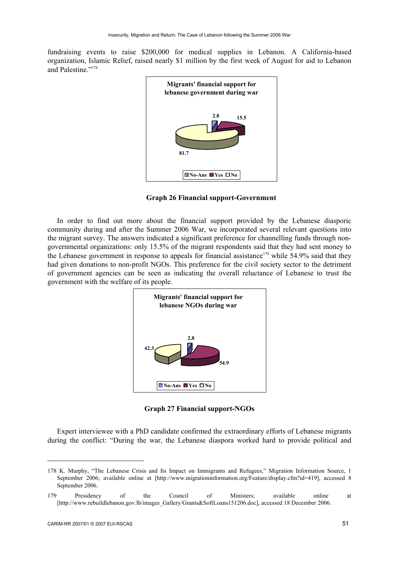fundraising events to raise \$200,000 for medical supplies in Lebanon. A California-based organization, Islamic Relief, raised nearly \$1 million by the first week of August for aid to Lebanon and Palestine."178



 **Graph 26 Financial support-Government** 

In order to find out more about the financial support provided by the Lebanese diasporic community during and after the Summer 2006 War, we incorporated several relevant questions into the migrant survey. The answers indicated a significant preference for channelling funds through nongovernmental organizations: only 15.5% of the migrant respondents said that they had sent money to the Lebanese government in response to appeals for financial assistance<sup>179</sup> while 54.9% said that they had given donations to non-profit NGOs. This preference for the civil society sector to the detriment of government agencies can be seen as indicating the overall reluctance of Lebanese to trust the government with the welfare of its people.



**Graph 27 Financial support-NGOs** 

Expert interviewee with a PhD candidate confirmed the extraordinary efforts of Lebanese migrants during the conflict: "During the war, the Lebanese diaspora worked hard to provide political and

<sup>178</sup> K. Murphy, "The Lebanese Crisis and Its Impact on Immigrants and Refugees," Migration Information Source, 1 September 2006; available online at [http://www.migrationinformation.org/Feature/display.cfm?id=419], accessed 8 September 2006.

<sup>179</sup> Presidency of the Council of Ministers; available online at [http://www.rebuildlebanon.gov.lb/images\_Gallery/Grants&SoftLoans151206.doc], accessed 18 December 2006.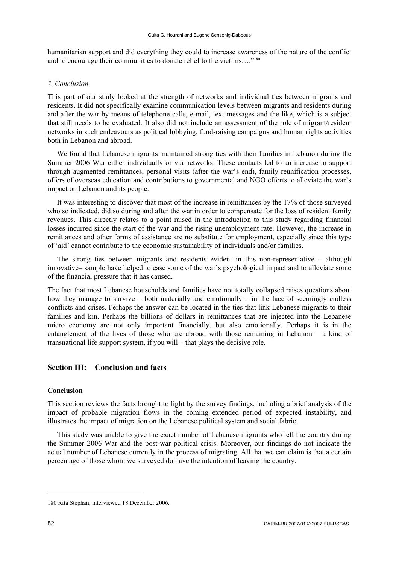humanitarian support and did everything they could to increase awareness of the nature of the conflict and to encourage their communities to donate relief to the victims…."180

# *7. Conclusion*

This part of our study looked at the strength of networks and individual ties between migrants and residents. It did not specifically examine communication levels between migrants and residents during and after the war by means of telephone calls, e-mail, text messages and the like, which is a subject that still needs to be evaluated. It also did not include an assessment of the role of migrant/resident networks in such endeavours as political lobbying, fund-raising campaigns and human rights activities both in Lebanon and abroad.

We found that Lebanese migrants maintained strong ties with their families in Lebanon during the Summer 2006 War either individually or via networks. These contacts led to an increase in support through augmented remittances, personal visits (after the war's end), family reunification processes, offers of overseas education and contributions to governmental and NGO efforts to alleviate the war's impact on Lebanon and its people.

It was interesting to discover that most of the increase in remittances by the 17% of those surveyed who so indicated, did so during and after the war in order to compensate for the loss of resident family revenues. This directly relates to a point raised in the introduction to this study regarding financial losses incurred since the start of the war and the rising unemployment rate. However, the increase in remittances and other forms of assistance are no substitute for employment, especially since this type of 'aid' cannot contribute to the economic sustainability of individuals and/or families.

The strong ties between migrants and residents evident in this non-representative – although innovative– sample have helped to ease some of the war's psychological impact and to alleviate some of the financial pressure that it has caused.

The fact that most Lebanese households and families have not totally collapsed raises questions about how they manage to survive – both materially and emotionally – in the face of seemingly endless conflicts and crises. Perhaps the answer can be located in the ties that link Lebanese migrants to their families and kin. Perhaps the billions of dollars in remittances that are injected into the Lebanese micro economy are not only important financially, but also emotionally. Perhaps it is in the entanglement of the lives of those who are abroad with those remaining in Lebanon – a kind of transnational life support system, if you will – that plays the decisive role.

# **Section III: Conclusion and facts**

## **Conclusion**

This section reviews the facts brought to light by the survey findings, including a brief analysis of the impact of probable migration flows in the coming extended period of expected instability, and illustrates the impact of migration on the Lebanese political system and social fabric.

This study was unable to give the exact number of Lebanese migrants who left the country during the Summer 2006 War and the post-war political crisis. Moreover, our findings do not indicate the actual number of Lebanese currently in the process of migrating. All that we can claim is that a certain percentage of those whom we surveyed do have the intention of leaving the country.

<sup>180</sup> Rita Stephan, interviewed 18 December 2006.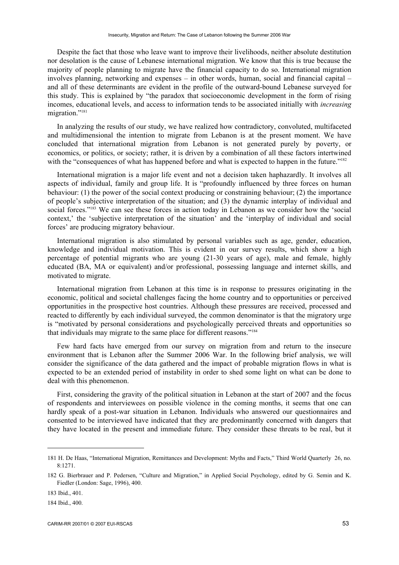Despite the fact that those who leave want to improve their livelihoods, neither absolute destitution nor desolation is the cause of Lebanese international migration. We know that this is true because the majority of people planning to migrate have the financial capacity to do so. International migration involves planning, networking and expenses – in other words, human, social and financial capital – and all of these determinants are evident in the profile of the outward-bound Lebanese surveyed for this study. This is explained by "the paradox that socioeconomic development in the form of rising incomes, educational levels, and access to information tends to be associated initially with *increasing* migration."<sup>181</sup>

In analyzing the results of our study, we have realized how contradictory, convoluted, multifaceted and multidimensional the intention to migrate from Lebanon is at the present moment. We have concluded that international migration from Lebanon is not generated purely by poverty, or economics, or politics, or society; rather, it is driven by a combination of all these factors intertwined with the "consequences of what has happened before and what is expected to happen in the future."<sup>182</sup>

International migration is a major life event and not a decision taken haphazardly. It involves all aspects of individual, family and group life. It is "profoundly influenced by three forces on human behaviour: (1) the power of the social context producing or constraining behaviour; (2) the importance of people's subjective interpretation of the situation; and (3) the dynamic interplay of individual and social forces."<sup>183</sup> We can see these forces in action today in Lebanon as we consider how the 'social context,' the 'subjective interpretation of the situation' and the 'interplay of individual and social forces' are producing migratory behaviour.

International migration is also stimulated by personal variables such as age, gender, education, knowledge and individual motivation. This is evident in our survey results, which show a high percentage of potential migrants who are young (21-30 years of age), male and female, highly educated (BA, MA or equivalent) and/or professional, possessing language and internet skills, and motivated to migrate.

International migration from Lebanon at this time is in response to pressures originating in the economic, political and societal challenges facing the home country and to opportunities or perceived opportunities in the prospective host countries. Although these pressures are received, processed and reacted to differently by each individual surveyed, the common denominator is that the migratory urge is "motivated by personal considerations and psychologically perceived threats and opportunities so that individuals may migrate to the same place for different reasons."184

Few hard facts have emerged from our survey on migration from and return to the insecure environment that is Lebanon after the Summer 2006 War. In the following brief analysis, we will consider the significance of the data gathered and the impact of probable migration flows in what is expected to be an extended period of instability in order to shed some light on what can be done to deal with this phenomenon.

First, considering the gravity of the political situation in Lebanon at the start of 2007 and the focus of respondents and interviewees on possible violence in the coming months, it seems that one can hardly speak of a post-war situation in Lebanon. Individuals who answered our questionnaires and consented to be interviewed have indicated that they are predominantly concerned with dangers that they have located in the present and immediate future. They consider these threats to be real, but it

<sup>181</sup> H. De Haas, "International Migration, Remittances and Development: Myths and Facts," Third World Quarterly 26, no. 8:1271.

<sup>182</sup> G. Bierbrauer and P. Pedersen, "Culture and Migration," in Applied Social Psychology, edited by G. Semin and K. Fiedler (London: Sage, 1996), 400.

<sup>183</sup> Ibid., 401.

<sup>184</sup> Ibid., 400.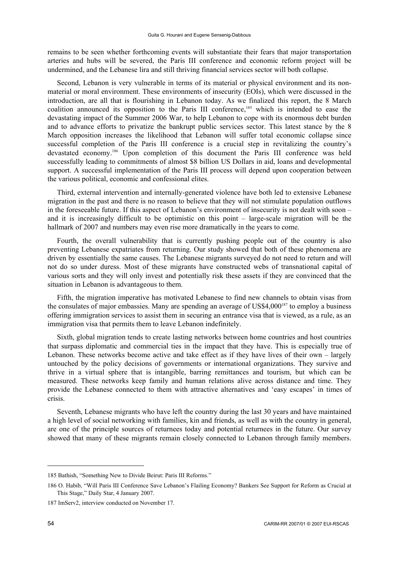remains to be seen whether forthcoming events will substantiate their fears that major transportation arteries and hubs will be severed, the Paris III conference and economic reform project will be undermined, and the Lebanese lira and still thriving financial services sector will both collapse.

Second, Lebanon is very vulnerable in terms of its material or physical environment and its nonmaterial or moral environment. These environments of insecurity (EOIs), which were discussed in the introduction, are all that is flourishing in Lebanon today. As we finalized this report, the 8 March coalition announced its opposition to the Paris III conference,<sup>185</sup> which is intended to ease the devastating impact of the Summer 2006 War, to help Lebanon to cope with its enormous debt burden and to advance efforts to privatize the bankrupt public services sector. This latest stance by the 8 March opposition increases the likelihood that Lebanon will suffer total economic collapse since successful completion of the Paris III conference is a crucial step in revitalizing the country's devastated economy.<sup>186</sup> Upon completion of this document the Paris III conference was held successfully leading to commitments of almost \$8 billion US Dollars in aid, loans and developmental support. A successful implementation of the Paris III process will depend upon cooperation between the various political, economic and confessional elites.

Third, external intervention and internally-generated violence have both led to extensive Lebanese migration in the past and there is no reason to believe that they will not stimulate population outflows in the foreseeable future. If this aspect of Lebanon's environment of insecurity is not dealt with soon – and it is increasingly difficult to be optimistic on this point – large-scale migration will be the hallmark of 2007 and numbers may even rise more dramatically in the years to come.

Fourth, the overall vulnerability that is currently pushing people out of the country is also preventing Lebanese expatriates from returning. Our study showed that both of these phenomena are driven by essentially the same causes. The Lebanese migrants surveyed do not need to return and will not do so under duress. Most of these migrants have constructed webs of transnational capital of various sorts and they will only invest and potentially risk these assets if they are convinced that the situation in Lebanon is advantageous to them.

Fifth, the migration imperative has motivated Lebanese to find new channels to obtain visas from the consulates of major embassies. Many are spending an average of US\$4,000<sup>187</sup> to employ a business offering immigration services to assist them in securing an entrance visa that is viewed, as a rule, as an immigration visa that permits them to leave Lebanon indefinitely.

Sixth, global migration tends to create lasting networks between home countries and host countries that surpass diplomatic and commercial ties in the impact that they have. This is especially true of Lebanon. These networks become active and take effect as if they have lives of their own – largely untouched by the policy decisions of governments or international organizations. They survive and thrive in a virtual sphere that is intangible, barring remittances and tourism, but which can be measured. These networks keep family and human relations alive across distance and time. They provide the Lebanese connected to them with attractive alternatives and 'easy escapes' in times of crisis.

Seventh, Lebanese migrants who have left the country during the last 30 years and have maintained a high level of social networking with families, kin and friends, as well as with the country in general, are one of the principle sources of returnees today and potential returnees in the future. Our survey showed that many of these migrants remain closely connected to Lebanon through family members.

<sup>185</sup> Bathish, "Something New to Divide Beirut: Paris III Reforms."

<sup>186</sup> O. Habib, "Will Paris III Conference Save Lebanon's Flailing Economy? Bankers See Support for Reform as Crucial at This Stage," Daily Star, 4 January 2007.

<sup>187</sup> ImServ2, interview conducted on November 17.